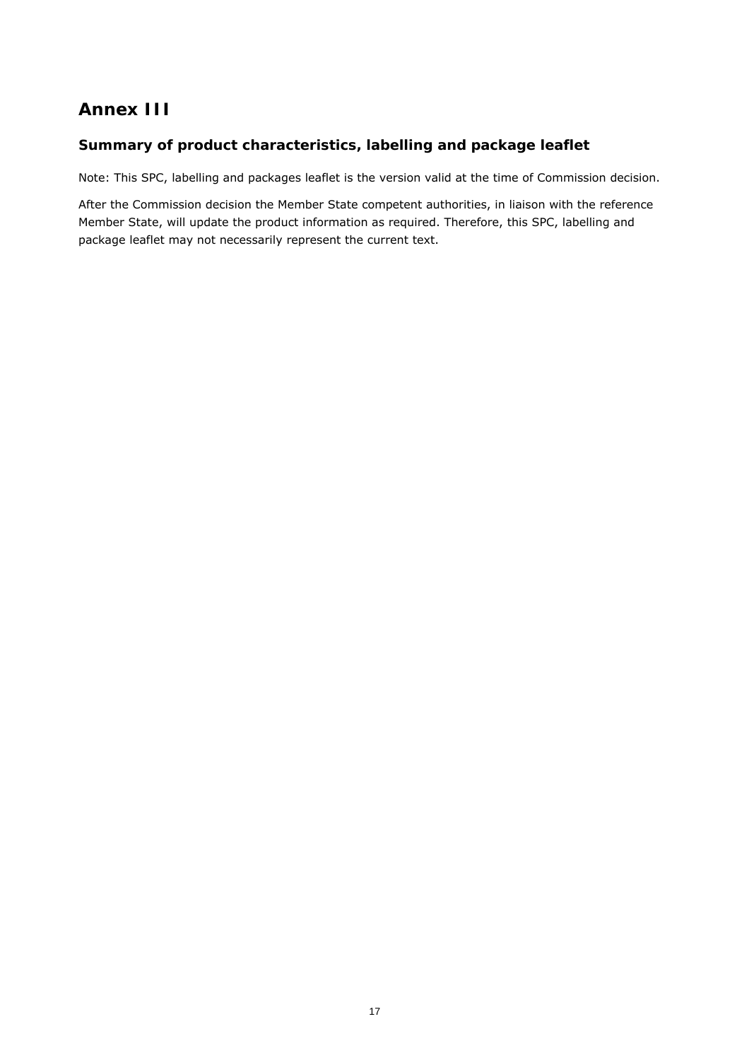# **Annex III**

## *Summary of product characteristics, labelling and package leaflet*

Note: This SPC, labelling and packages leaflet is the version valid at the time of Commission decision.

After the Commission decision the Member State competent authorities, in liaison with the reference Member State, will update the product information as required. Therefore, this SPC, labelling and package leaflet may not necessarily represent the current text.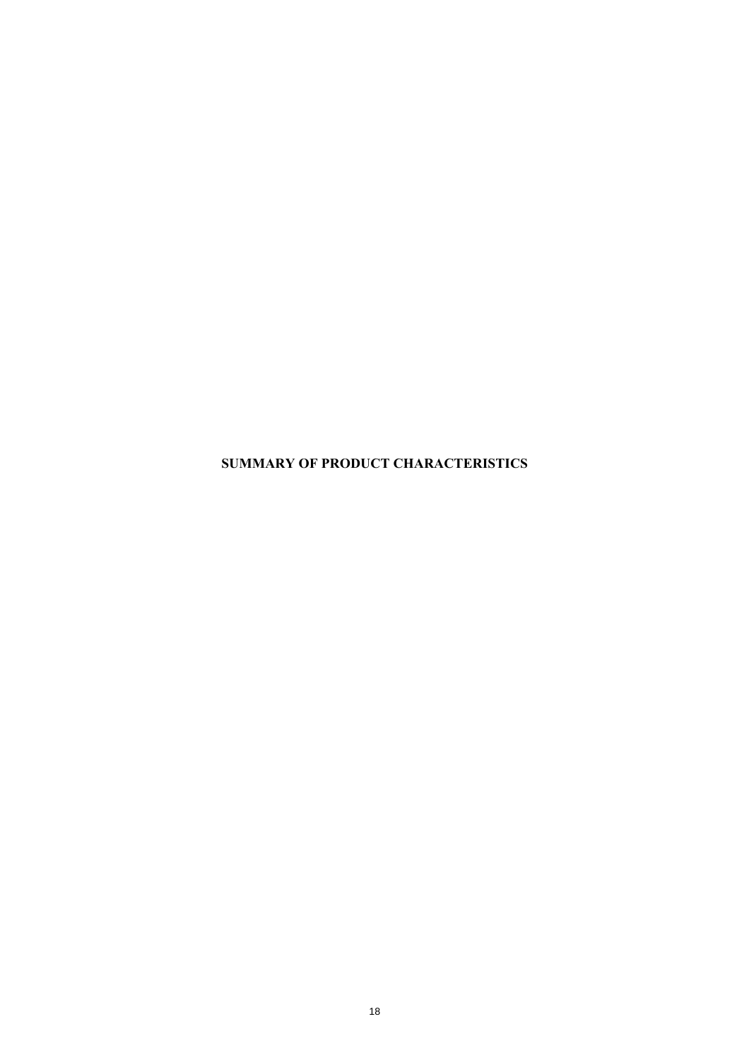**SUMMARY OF PRODUCT CHARACTERISTICS**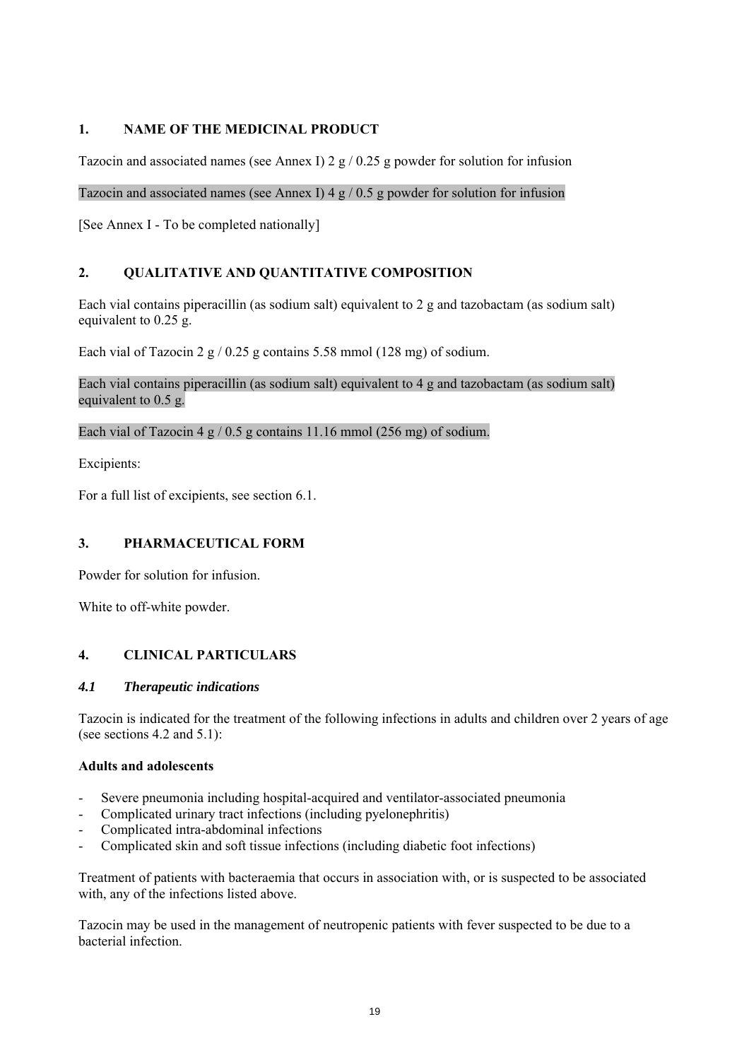## **1. NAME OF THE MEDICINAL PRODUCT**

Tazocin and associated names (see Annex I)  $2 g / 0.25 g$  powder for solution for infusion

### Tazocin and associated names (see Annex I) 4  $g / 0.5 g$  powder for solution for infusion

[See Annex I - To be completed nationally]

## **2. QUALITATIVE AND QUANTITATIVE COMPOSITION**

Each vial contains piperacillin (as sodium salt) equivalent to 2 g and tazobactam (as sodium salt) equivalent to 0.25 g.

Each vial of Tazocin 2 g / 0.25 g contains 5.58 mmol (128 mg) of sodium.

### Each vial contains piperacillin (as sodium salt) equivalent to 4 g and tazobactam (as sodium salt) equivalent to 0.5 g.

### Each vial of Tazocin 4 g / 0.5 g contains 11.16 mmol (256 mg) of sodium.

Excipients:

For a full list of excipients, see section 6.1.

## **3. PHARMACEUTICAL FORM**

Powder for solution for infusion.

White to off-white powder.

## **4. CLINICAL PARTICULARS**

### *4.1 Therapeutic indications*

Tazocin is indicated for the treatment of the following infections in adults and children over 2 years of age (see sections 4.2 and 5.1):

### **Adults and adolescents**

- Severe pneumonia including hospital-acquired and ventilator-associated pneumonia
- Complicated urinary tract infections (including pyelonephritis)
- Complicated intra-abdominal infections
- Complicated skin and soft tissue infections (including diabetic foot infections)

Treatment of patients with bacteraemia that occurs in association with, or is suspected to be associated with, any of the infections listed above.

Tazocin may be used in the management of neutropenic patients with fever suspected to be due to a bacterial infection.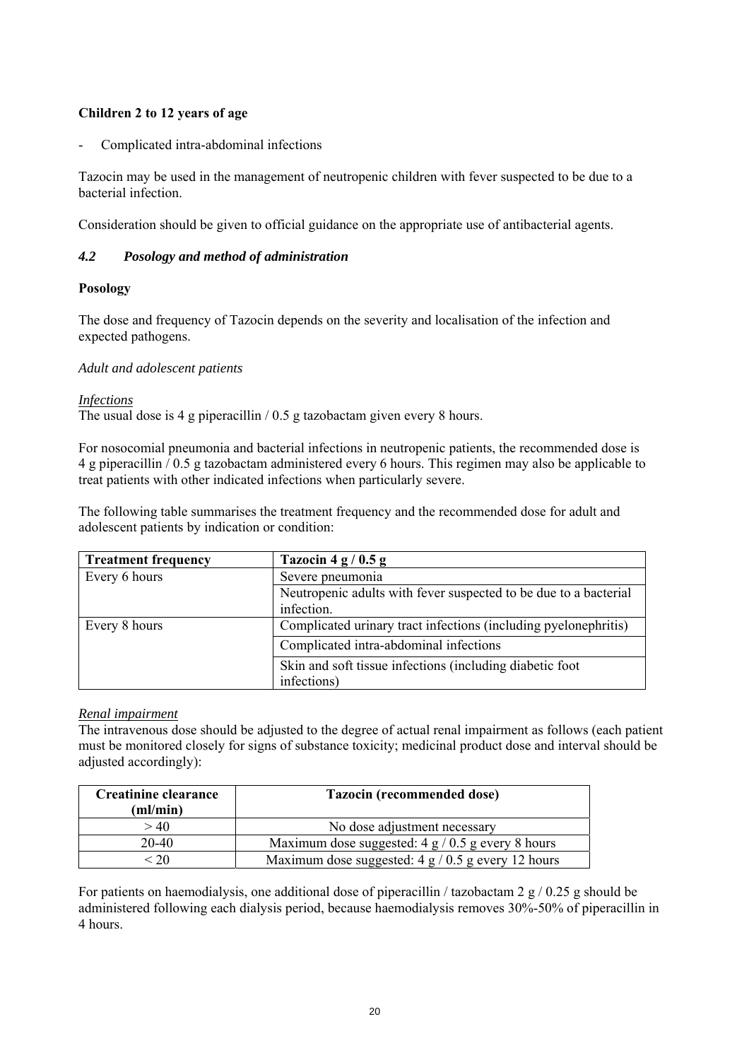## **Children 2 to 12 years of age**

- Complicated intra-abdominal infections

Tazocin may be used in the management of neutropenic children with fever suspected to be due to a bacterial infection.

Consideration should be given to official guidance on the appropriate use of antibacterial agents.

## *4.2 Posology and method of administration*

### **Posology**

The dose and frequency of Tazocin depends on the severity and localisation of the infection and expected pathogens.

### *Adult and adolescent patients*

*Infections*

The usual dose is 4 g piperacillin / 0.5 g tazobactam given every 8 hours.

For nosocomial pneumonia and bacterial infections in neutropenic patients, the recommended dose is 4 g piperacillin / 0.5 g tazobactam administered every 6 hours. This regimen may also be applicable to treat patients with other indicated infections when particularly severe.

The following table summarises the treatment frequency and the recommended dose for adult and adolescent patients by indication or condition:

| <b>Treatment frequency</b> | Tazocin 4 g / $0.5$ g                                            |  |  |
|----------------------------|------------------------------------------------------------------|--|--|
| Every 6 hours              | Severe pneumonia                                                 |  |  |
|                            | Neutropenic adults with fever suspected to be due to a bacterial |  |  |
|                            | infection.                                                       |  |  |
| Every 8 hours              | Complicated urinary tract infections (including pyelonephritis)  |  |  |
|                            | Complicated intra-abdominal infections                           |  |  |
|                            | Skin and soft tissue infections (including diabetic foot         |  |  |
|                            | infections)                                                      |  |  |

## *Renal impairment*

The intravenous dose should be adjusted to the degree of actual renal impairment as follows (each patient must be monitored closely for signs of substance toxicity; medicinal product dose and interval should be adjusted accordingly):

| <b>Creatinine clearance</b> | <b>Tazocin (recommended dose)</b>                          |  |
|-----------------------------|------------------------------------------------------------|--|
| (ml/min)                    |                                                            |  |
| > 40                        | No dose adjustment necessary                               |  |
| 20-40                       | Maximum dose suggested: $4 \frac{g}{0.5}$ g every 8 hours  |  |
|                             | Maximum dose suggested: $4 \frac{g}{0.5}$ g every 12 hours |  |

For patients on haemodialysis, one additional dose of piperacillin / tazobactam 2 g / 0.25 g should be administered following each dialysis period, because haemodialysis removes 30%-50% of piperacillin in 4 hours.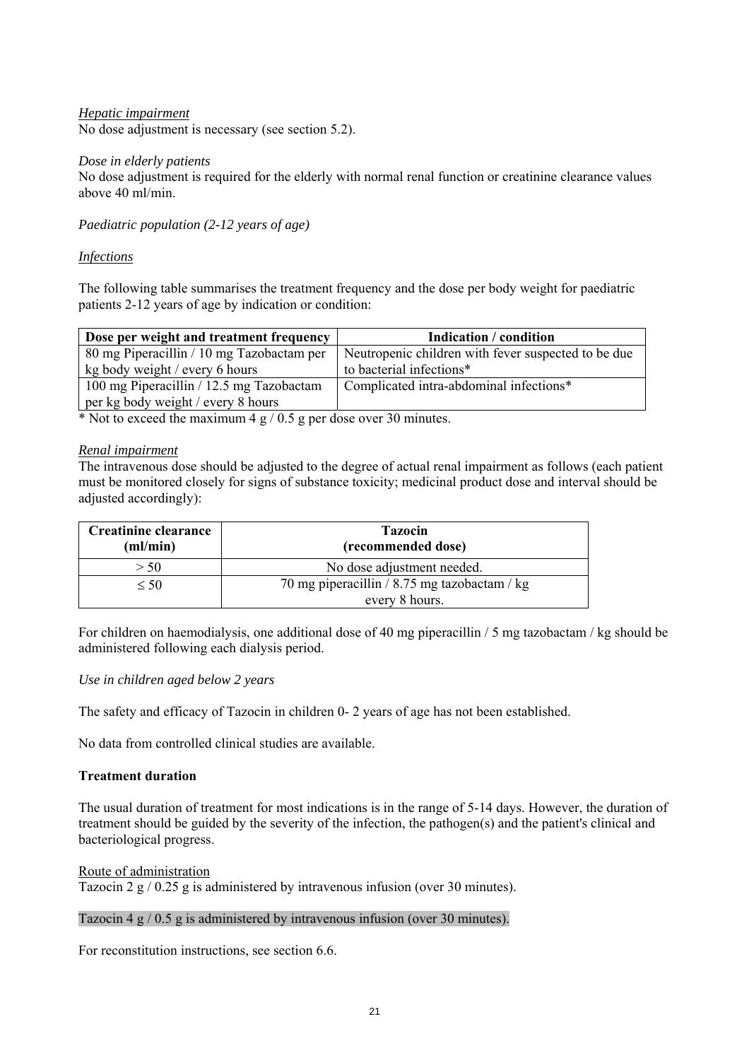### *Hepatic impairment* No dose adjustment is necessary (see section 5.2).

### *Dose in elderly patients*

No dose adjustment is required for the elderly with normal renal function or creatinine clearance values above 40 ml/min.

*Paediatric population (2-12 years of age)* 

### *Infections*

The following table summarises the treatment frequency and the dose per body weight for paediatric patients 2-12 years of age by indication or condition:

| Dose per weight and treatment frequency   | <b>Indication</b> / condition                       |
|-------------------------------------------|-----------------------------------------------------|
| 80 mg Piperacillin / 10 mg Tazobactam per | Neutropenic children with fever suspected to be due |
| kg body weight / every 6 hours            | to bacterial infections*                            |
| 100 mg Piperacillin / 12.5 mg Tazobactam  | Complicated intra-abdominal infections*             |
| per kg body weight / every 8 hours        |                                                     |

\* Not to exceed the maximum 4 g / 0.5 g per dose over 30 minutes.

### *Renal impairment*

The intravenous dose should be adjusted to the degree of actual renal impairment as follows (each patient must be monitored closely for signs of substance toxicity; medicinal product dose and interval should be adjusted accordingly):

| <b>Creatinine clearance</b><br>(ml/min) | <b>Tazocin</b><br>(recommended dose)         |  |
|-----------------------------------------|----------------------------------------------|--|
| > 50                                    | No dose adjustment needed.                   |  |
| $\leq 50$                               | 70 mg piperacillin / 8.75 mg tazobactam / kg |  |
|                                         | every 8 hours.                               |  |

For children on haemodialysis, one additional dose of 40 mg piperacillin / 5 mg tazobactam / kg should be administered following each dialysis period.

## *Use in children aged below 2 years*

The safety and efficacy of Tazocin in children 0- 2 years of age has not been established.

No data from controlled clinical studies are available.

## **Treatment duration**

The usual duration of treatment for most indications is in the range of 5-14 days. However, the duration of treatment should be guided by the severity of the infection, the pathogen(s) and the patient's clinical and bacteriological progress.

Route of administration

Tazocin 2 g / 0.25 g is administered by intravenous infusion (over 30 minutes).

### Tazocin 4 g / 0.5 g is administered by intravenous infusion (over 30 minutes).

For reconstitution instructions, see section 6.6.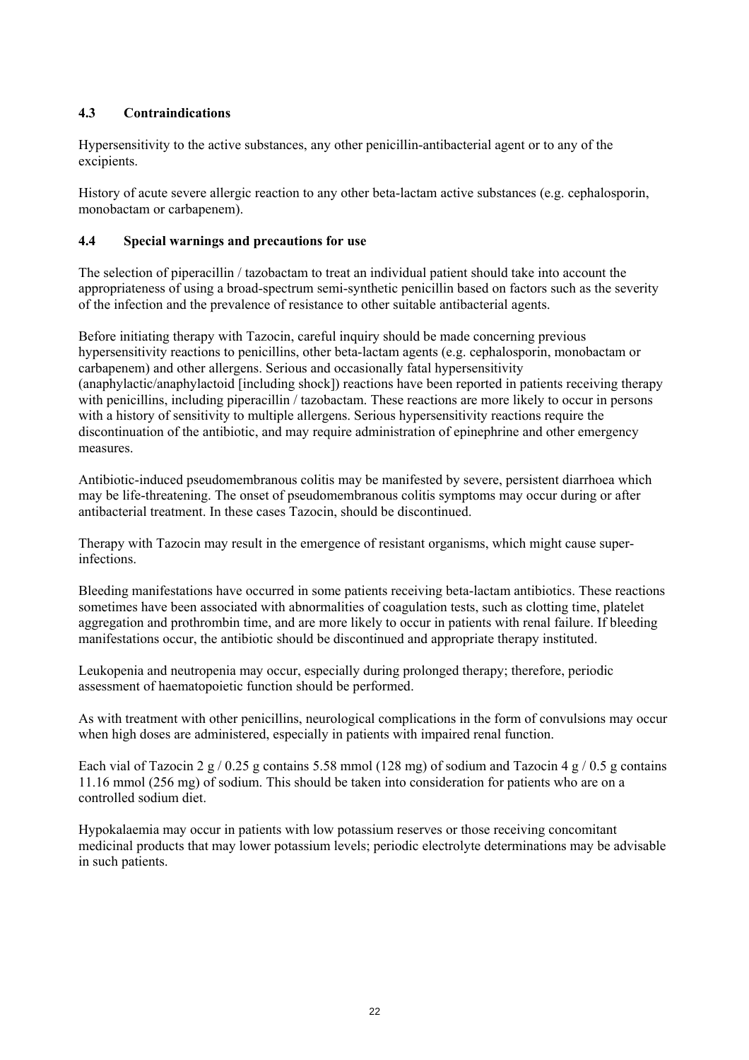## **4.3 Contraindications**

Hypersensitivity to the active substances, any other penicillin-antibacterial agent or to any of the excipients.

History of acute severe allergic reaction to any other beta-lactam active substances (e.g. cephalosporin, monobactam or carbapenem).

## **4.4 Special warnings and precautions for use**

The selection of piperacillin / tazobactam to treat an individual patient should take into account the appropriateness of using a broad-spectrum semi-synthetic penicillin based on factors such as the severity of the infection and the prevalence of resistance to other suitable antibacterial agents.

Before initiating therapy with Tazocin, careful inquiry should be made concerning previous hypersensitivity reactions to penicillins, other beta-lactam agents (e.g. cephalosporin, monobactam or carbapenem) and other allergens. Serious and occasionally fatal hypersensitivity (anaphylactic/anaphylactoid [including shock]) reactions have been reported in patients receiving therapy with penicillins, including piperacillin / tazobactam. These reactions are more likely to occur in persons with a history of sensitivity to multiple allergens. Serious hypersensitivity reactions require the discontinuation of the antibiotic, and may require administration of epinephrine and other emergency measures.

Antibiotic-induced pseudomembranous colitis may be manifested by severe, persistent diarrhoea which may be life-threatening. The onset of pseudomembranous colitis symptoms may occur during or after antibacterial treatment. In these cases Tazocin, should be discontinued.

Therapy with Tazocin may result in the emergence of resistant organisms, which might cause superinfections.

Bleeding manifestations have occurred in some patients receiving beta-lactam antibiotics. These reactions sometimes have been associated with abnormalities of coagulation tests, such as clotting time, platelet aggregation and prothrombin time, and are more likely to occur in patients with renal failure. If bleeding manifestations occur, the antibiotic should be discontinued and appropriate therapy instituted.

Leukopenia and neutropenia may occur, especially during prolonged therapy; therefore, periodic assessment of haematopoietic function should be performed.

As with treatment with other penicillins, neurological complications in the form of convulsions may occur when high doses are administered, especially in patients with impaired renal function.

Each vial of Tazocin 2 g / 0.25 g contains 5.58 mmol (128 mg) of sodium and Tazocin 4 g / 0.5 g contains 11.16 mmol (256 mg) of sodium. This should be taken into consideration for patients who are on a controlled sodium diet.

Hypokalaemia may occur in patients with low potassium reserves or those receiving concomitant medicinal products that may lower potassium levels; periodic electrolyte determinations may be advisable in such patients.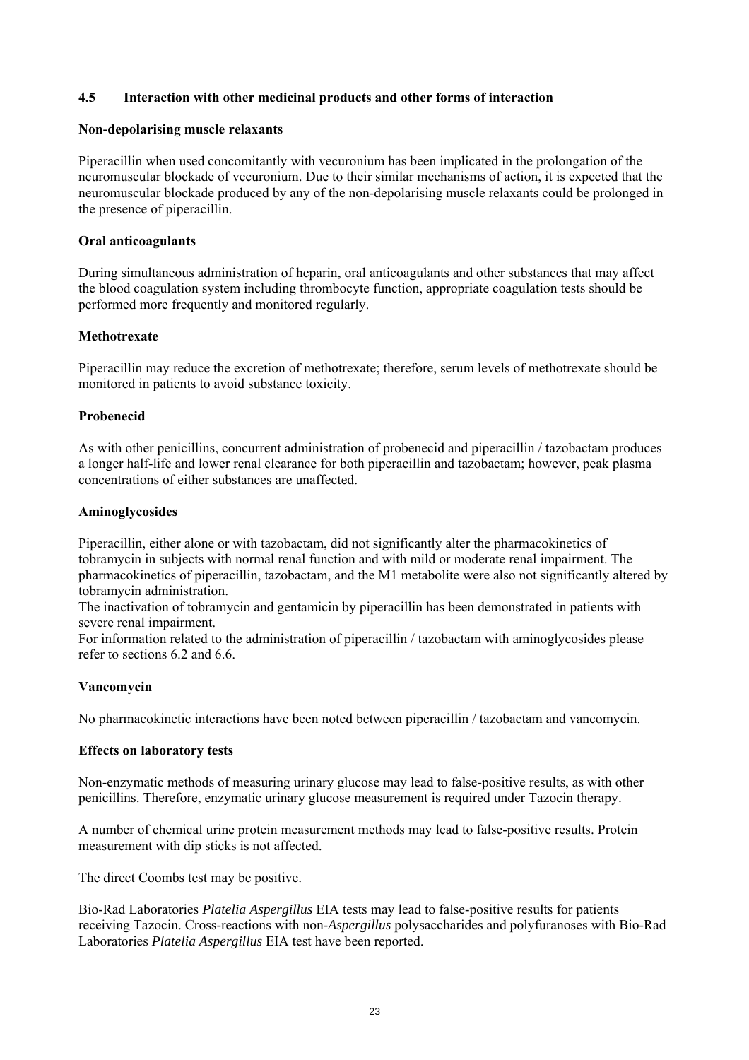### **4.5 Interaction with other medicinal products and other forms of interaction**

#### **Non-depolarising muscle relaxants**

Piperacillin when used concomitantly with vecuronium has been implicated in the prolongation of the neuromuscular blockade of vecuronium. Due to their similar mechanisms of action, it is expected that the neuromuscular blockade produced by any of the non-depolarising muscle relaxants could be prolonged in the presence of piperacillin.

### **Oral anticoagulants**

During simultaneous administration of heparin, oral anticoagulants and other substances that may affect the blood coagulation system including thrombocyte function, appropriate coagulation tests should be performed more frequently and monitored regularly.

### **Methotrexate**

Piperacillin may reduce the excretion of methotrexate; therefore, serum levels of methotrexate should be monitored in patients to avoid substance toxicity.

### **Probenecid**

As with other penicillins, concurrent administration of probenecid and piperacillin / tazobactam produces a longer half-life and lower renal clearance for both piperacillin and tazobactam; however, peak plasma concentrations of either substances are unaffected.

### **Aminoglycosides**

Piperacillin, either alone or with tazobactam, did not significantly alter the pharmacokinetics of tobramycin in subjects with normal renal function and with mild or moderate renal impairment. The pharmacokinetics of piperacillin, tazobactam, and the M1 metabolite were also not significantly altered by tobramycin administration.

The inactivation of tobramycin and gentamicin by piperacillin has been demonstrated in patients with severe renal impairment.

For information related to the administration of piperacillin / tazobactam with aminoglycosides please refer to sections 6.2 and 6.6.

### **Vancomycin**

No pharmacokinetic interactions have been noted between piperacillin / tazobactam and vancomycin.

### **Effects on laboratory tests**

Non-enzymatic methods of measuring urinary glucose may lead to false-positive results, as with other penicillins. Therefore, enzymatic urinary glucose measurement is required under Tazocin therapy.

A number of chemical urine protein measurement methods may lead to false-positive results. Protein measurement with dip sticks is not affected.

The direct Coombs test may be positive.

Bio-Rad Laboratories *Platelia Aspergillus* EIA tests may lead to false-positive results for patients receiving Tazocin. Cross-reactions with non-*Aspergillus* polysaccharides and polyfuranoses with Bio-Rad Laboratories *Platelia Aspergillus* EIA test have been reported.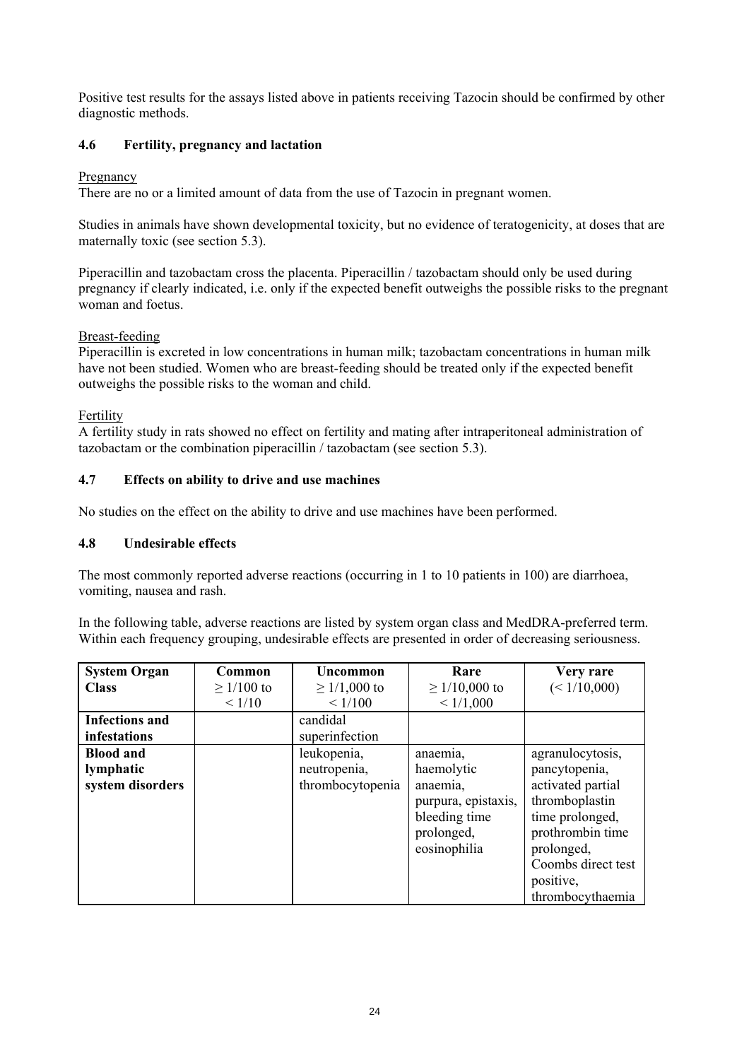Positive test results for the assays listed above in patients receiving Tazocin should be confirmed by other diagnostic methods.

## **4.6 Fertility, pregnancy and lactation**

## Pregnancy

There are no or a limited amount of data from the use of Tazocin in pregnant women.

Studies in animals have shown developmental toxicity, but no evidence of teratogenicity, at doses that are maternally toxic (see section 5.3).

Piperacillin and tazobactam cross the placenta. Piperacillin / tazobactam should only be used during pregnancy if clearly indicated, i.e. only if the expected benefit outweighs the possible risks to the pregnant woman and foetus.

## Breast-feeding

Piperacillin is excreted in low concentrations in human milk; tazobactam concentrations in human milk have not been studied. Women who are breast-feeding should be treated only if the expected benefit outweighs the possible risks to the woman and child.

## Fertility

A fertility study in rats showed no effect on fertility and mating after intraperitoneal administration of tazobactam or the combination piperacillin / tazobactam (see section 5.3).

## **4.7 Effects on ability to drive and use machines**

No studies on the effect on the ability to drive and use machines have been performed.

## **4.8 Undesirable effects**

The most commonly reported adverse reactions (occurring in 1 to 10 patients in 100) are diarrhoea, vomiting, nausea and rash.

In the following table, adverse reactions are listed by system organ class and MedDRA-preferred term. Within each frequency grouping, undesirable effects are presented in order of decreasing seriousness.

| <b>System Organ</b>   | Common          | <b>Uncommon</b>   | Rare                | Very rare          |
|-----------------------|-----------------|-------------------|---------------------|--------------------|
| <b>Class</b>          | $\geq$ 1/100 to | $\geq$ 1/1,000 to | $\geq$ 1/10,000 to  | (< 1/10,000)       |
|                       | < 1/10          | < 1/100           | < 1/1,000           |                    |
| <b>Infections and</b> |                 | candidal          |                     |                    |
| infestations          |                 | superinfection    |                     |                    |
| <b>Blood and</b>      |                 | leukopenia,       | anaemia,            | agranulocytosis,   |
| lymphatic             |                 | neutropenia,      | haemolytic          | pancytopenia,      |
| system disorders      |                 | thrombocytopenia  | anaemia,            | activated partial  |
|                       |                 |                   | purpura, epistaxis, | thromboplastin     |
|                       |                 |                   | bleeding time       | time prolonged,    |
|                       |                 |                   | prolonged,          | prothrombin time   |
|                       |                 |                   | eosinophilia        | prolonged,         |
|                       |                 |                   |                     | Coombs direct test |
|                       |                 |                   |                     | positive,          |
|                       |                 |                   |                     | thrombocythaemia   |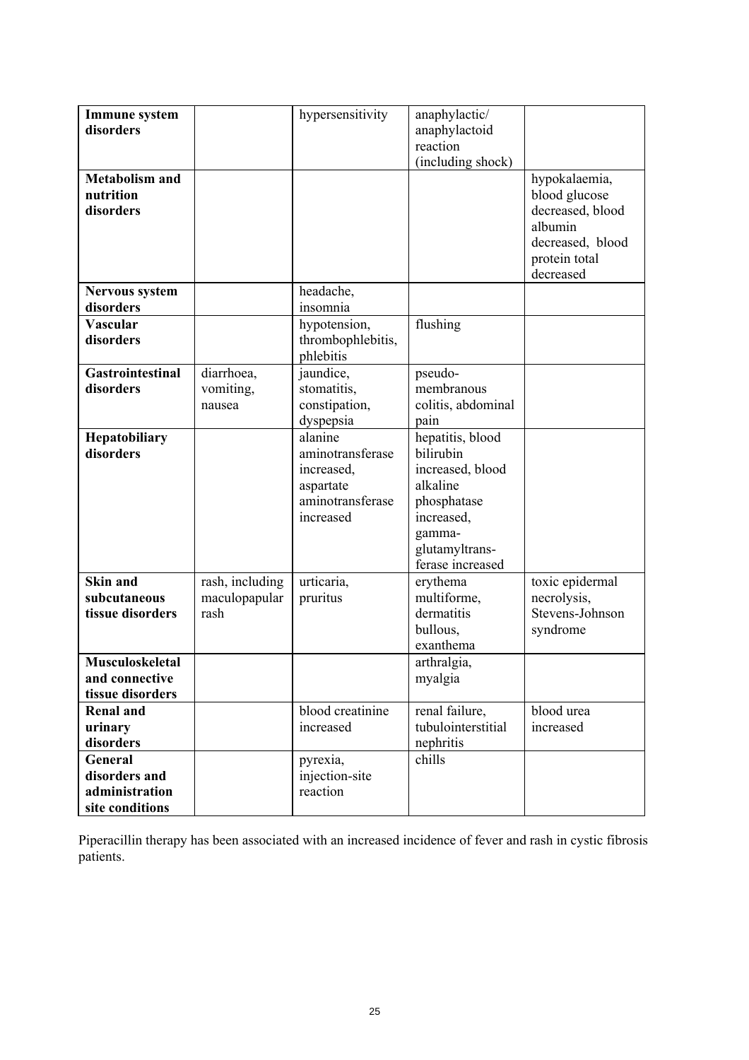| <b>Immune</b> system<br>disorders<br><b>Metabolism and</b><br>nutrition<br>disorders |                                          | hypersensitivity                                                                        | anaphylactic/<br>anaphylactoid<br>reaction<br>(including shock)                                                                            | hypokalaemia,<br>blood glucose<br>decreased, blood<br>albumin<br>decreased, blood<br>protein total |
|--------------------------------------------------------------------------------------|------------------------------------------|-----------------------------------------------------------------------------------------|--------------------------------------------------------------------------------------------------------------------------------------------|----------------------------------------------------------------------------------------------------|
|                                                                                      |                                          |                                                                                         |                                                                                                                                            | decreased                                                                                          |
| Nervous system<br>disorders                                                          |                                          | headache,<br>insomnia                                                                   |                                                                                                                                            |                                                                                                    |
| <b>Vascular</b><br>disorders                                                         |                                          | hypotension,<br>thrombophlebitis,<br>phlebitis                                          | flushing                                                                                                                                   |                                                                                                    |
| <b>Gastrointestinal</b><br>disorders                                                 | diarrhoea,<br>vomiting,<br>nausea        | jaundice,<br>stomatitis,<br>constipation,<br>dyspepsia                                  | pseudo-<br>membranous<br>colitis, abdominal<br>pain                                                                                        |                                                                                                    |
| Hepatobiliary<br>disorders                                                           |                                          | alanine<br>aminotransferase<br>increased,<br>aspartate<br>aminotransferase<br>increased | hepatitis, blood<br>bilirubin<br>increased, blood<br>alkaline<br>phosphatase<br>increased,<br>gamma-<br>glutamyltrans-<br>ferase increased |                                                                                                    |
| <b>Skin and</b><br>subcutaneous<br>tissue disorders                                  | rash, including<br>maculopapular<br>rash | urticaria,<br>pruritus                                                                  | erythema<br>multiforme,<br>dermatitis<br>bullous,<br>exanthema                                                                             | toxic epidermal<br>necrolysis,<br>Stevens-Johnson<br>syndrome                                      |
| Musculoskeletal<br>and connective<br>tissue disorders                                |                                          |                                                                                         | arthralgia,<br>myalgia                                                                                                                     |                                                                                                    |
| <b>Renal and</b><br>urinary<br>disorders                                             |                                          | blood creatinine<br>increased                                                           | renal failure,<br>tubulointerstitial<br>nephritis                                                                                          | blood urea<br>increased                                                                            |
| General<br>disorders and<br>administration<br>site conditions                        |                                          | pyrexia,<br>injection-site<br>reaction                                                  | chills                                                                                                                                     |                                                                                                    |

Piperacillin therapy has been associated with an increased incidence of fever and rash in cystic fibrosis patients.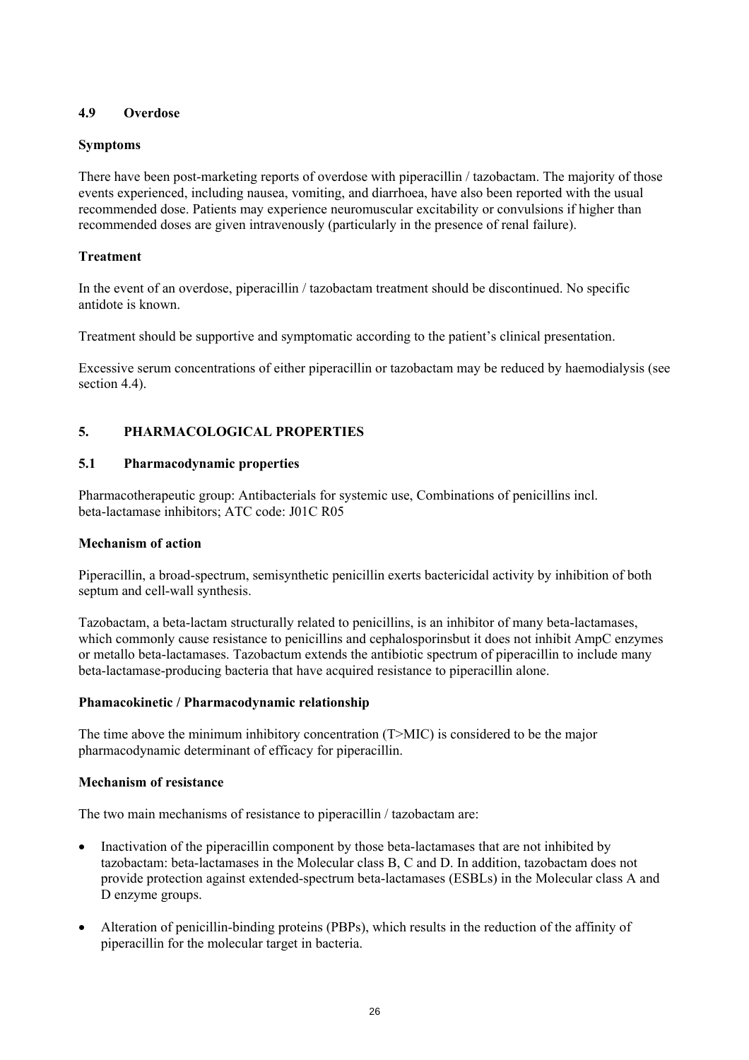## **4.9 Overdose**

## **Symptoms**

There have been post-marketing reports of overdose with piperacillin / tazobactam. The majority of those events experienced, including nausea, vomiting, and diarrhoea, have also been reported with the usual recommended dose. Patients may experience neuromuscular excitability or convulsions if higher than recommended doses are given intravenously (particularly in the presence of renal failure).

## **Treatment**

In the event of an overdose, piperacillin / tazobactam treatment should be discontinued. No specific antidote is known.

Treatment should be supportive and symptomatic according to the patient's clinical presentation.

Excessive serum concentrations of either piperacillin or tazobactam may be reduced by haemodialysis (see section 4.4).

## **5. PHARMACOLOGICAL PROPERTIES**

### **5.1 Pharmacodynamic properties**

Pharmacotherapeutic group: Antibacterials for systemic use, Combinations of penicillins incl. beta-lactamase inhibitors; ATC code: J01C R05

### **Mechanism of action**

Piperacillin, a broad-spectrum, semisynthetic penicillin exerts bactericidal activity by inhibition of both septum and cell-wall synthesis.

Tazobactam, a beta-lactam structurally related to penicillins, is an inhibitor of many beta-lactamases, which commonly cause resistance to penicillins and cephalosporinsbut it does not inhibit AmpC enzymes or metallo beta-lactamases. Tazobactum extends the antibiotic spectrum of piperacillin to include many beta-lactamase-producing bacteria that have acquired resistance to piperacillin alone.

### **Phamacokinetic / Pharmacodynamic relationship**

The time above the minimum inhibitory concentration (T>MIC) is considered to be the major pharmacodynamic determinant of efficacy for piperacillin.

### **Mechanism of resistance**

The two main mechanisms of resistance to piperacillin / tazobactam are:

- Inactivation of the piperacillin component by those beta-lactamases that are not inhibited by tazobactam: beta-lactamases in the Molecular class B, C and D. In addition, tazobactam does not provide protection against extended-spectrum beta-lactamases (ESBLs) in the Molecular class A and D enzyme groups.
- Alteration of penicillin-binding proteins (PBPs), which results in the reduction of the affinity of piperacillin for the molecular target in bacteria.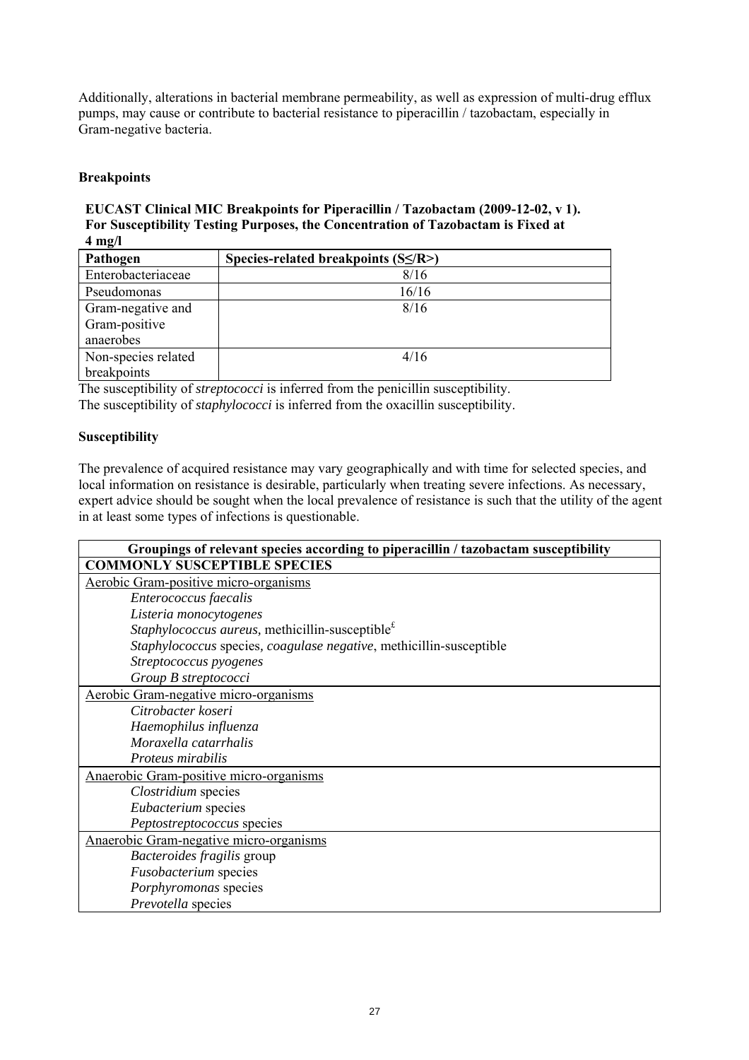Additionally, alterations in bacterial membrane permeability, as well as expression of multi-drug efflux pumps, may cause or contribute to bacterial resistance to piperacillin / tazobactam, especially in Gram-negative bacteria.

## **Breakpoints**

**EUCAST Clinical MIC Breakpoints for Piperacillin / Tazobactam (2009-12-02, v 1). For Susceptibility Testing Purposes, the Concentration of Tazobactam is Fixed at 4 mg/l** 

| Pathogen                           | Species-related breakpoints $(S\le/R>)$ |
|------------------------------------|-----------------------------------------|
| Enterobacteriaceae                 | 8/16                                    |
| Pseudomonas                        | 16/16                                   |
| Gram-negative and<br>Gram-positive | 8/16                                    |
| anaerobes                          |                                         |
| Non-species related                | 4/16                                    |
| breakpoints                        |                                         |

The susceptibility of *streptococci* is inferred from the penicillin susceptibility. The susceptibility of *staphylococci* is inferred from the oxacillin susceptibility.

## **Susceptibility**

The prevalence of acquired resistance may vary geographically and with time for selected species, and local information on resistance is desirable, particularly when treating severe infections. As necessary, expert advice should be sought when the local prevalence of resistance is such that the utility of the agent in at least some types of infections is questionable.

| Groupings of relevant species according to piperacillin / tazobactam susceptibility |  |  |
|-------------------------------------------------------------------------------------|--|--|
| <b>COMMONLY SUSCEPTIBLE SPECIES</b>                                                 |  |  |
| Aerobic Gram-positive micro-organisms                                               |  |  |
| Enterococcus faecalis                                                               |  |  |
| Listeria monocytogenes                                                              |  |  |
| <i>Staphylococcus aureus</i> , methicillin-susceptible <sup>£</sup>                 |  |  |
| Staphylococcus species, coagulase negative, methicillin-susceptible                 |  |  |
| Streptococcus pyogenes                                                              |  |  |
| Group B streptococci                                                                |  |  |
| Aerobic Gram-negative micro-organisms                                               |  |  |
| Citrobacter koseri                                                                  |  |  |
| Haemophilus influenza                                                               |  |  |
| Moraxella catarrhalis                                                               |  |  |
| Proteus mirabilis                                                                   |  |  |
| Anaerobic Gram-positive micro-organisms                                             |  |  |
| Clostridium species                                                                 |  |  |
| Eubacterium species                                                                 |  |  |
| Peptostreptococcus species                                                          |  |  |
| Anaerobic Gram-negative micro-organisms                                             |  |  |
| Bacteroides fragilis group                                                          |  |  |
| Fusobacterium species                                                               |  |  |
| Porphyromonas species                                                               |  |  |
| Prevotella species                                                                  |  |  |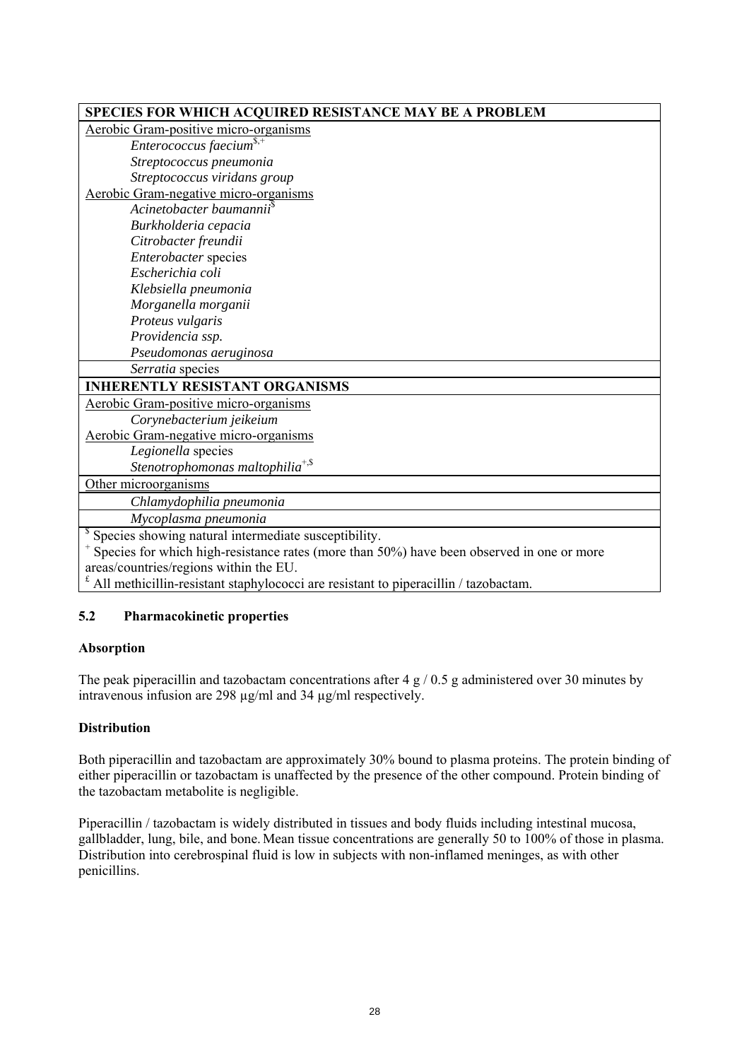| SPECIES FOR WHICH ACQUIRED RESISTANCE MAY BE A PROBLEM                                                 |
|--------------------------------------------------------------------------------------------------------|
| Aerobic Gram-positive micro-organisms                                                                  |
| Enterococcus faecium $s$ <sup>4</sup>                                                                  |
| Streptococcus pneumonia                                                                                |
| Streptococcus viridans group                                                                           |
| Aerobic Gram-negative micro-organisms                                                                  |
| Acinetobacter baumannii <sup>s</sup>                                                                   |
| Burkholderia cepacia                                                                                   |
| Citrobacter freundii                                                                                   |
| Enterobacter species                                                                                   |
| Escherichia coli                                                                                       |
| Klebsiella pneumonia                                                                                   |
| Morganella morganii                                                                                    |
| Proteus vulgaris                                                                                       |
| Providencia ssp.                                                                                       |
| Pseudomonas aeruginosa                                                                                 |
| Serratia species                                                                                       |
| <b>INHERENTLY RESISTANT ORGANISMS</b>                                                                  |
| Aerobic Gram-positive micro-organisms                                                                  |
| Corynebacterium jeikeium                                                                               |
| Aerobic Gram-negative micro-organisms                                                                  |
| Legionella species                                                                                     |
| Stenotrophomonas maltophilia <sup>+,\$</sup>                                                           |
| Other microorganisms                                                                                   |
| Chlamydophilia pneumonia                                                                               |
| Mycoplasma pneumonia                                                                                   |
| <sup>\$</sup> Species showing natural intermediate susceptibility.                                     |
| <sup>+</sup> Species for which high-resistance rates (more than 50%) have been observed in one or more |
| areas/countries/regions within the EU.                                                                 |
| All methicillin-resistant staphylococci are resistant to piperacillin / tazobactam.                    |

## **5.2 Pharmacokinetic properties**

## **Absorption**

The peak piperacillin and tazobactam concentrations after 4 g / 0.5 g administered over 30 minutes by intravenous infusion are 298 µg/ml and 34 µg/ml respectively.

## **Distribution**

Both piperacillin and tazobactam are approximately 30% bound to plasma proteins. The protein binding of either piperacillin or tazobactam is unaffected by the presence of the other compound. Protein binding of the tazobactam metabolite is negligible.

Piperacillin / tazobactam is widely distributed in tissues and body fluids including intestinal mucosa, gallbladder, lung, bile, and bone. Mean tissue concentrations are generally 50 to 100% of those in plasma. Distribution into cerebrospinal fluid is low in subjects with non-inflamed meninges, as with other penicillins.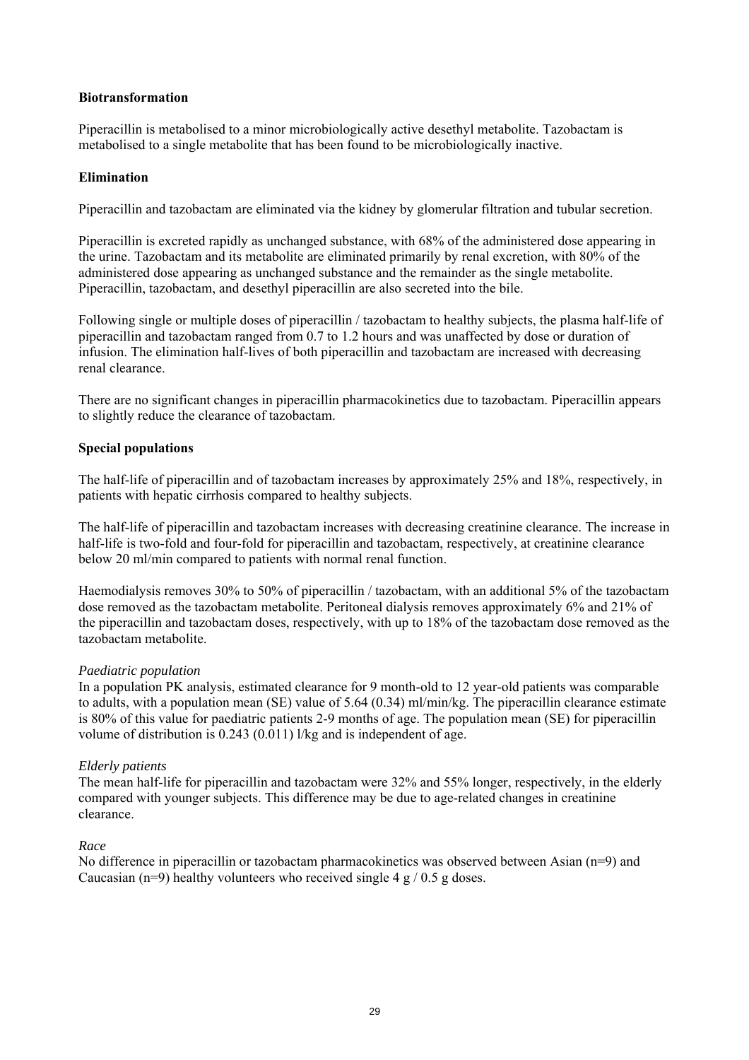### **Biotransformation**

Piperacillin is metabolised to a minor microbiologically active desethyl metabolite. Tazobactam is metabolised to a single metabolite that has been found to be microbiologically inactive.

### **Elimination**

Piperacillin and tazobactam are eliminated via the kidney by glomerular filtration and tubular secretion.

Piperacillin is excreted rapidly as unchanged substance, with 68% of the administered dose appearing in the urine. Tazobactam and its metabolite are eliminated primarily by renal excretion, with 80% of the administered dose appearing as unchanged substance and the remainder as the single metabolite. Piperacillin, tazobactam, and desethyl piperacillin are also secreted into the bile.

Following single or multiple doses of piperacillin / tazobactam to healthy subjects, the plasma half-life of piperacillin and tazobactam ranged from 0.7 to 1.2 hours and was unaffected by dose or duration of infusion. The elimination half-lives of both piperacillin and tazobactam are increased with decreasing renal clearance.

There are no significant changes in piperacillin pharmacokinetics due to tazobactam. Piperacillin appears to slightly reduce the clearance of tazobactam.

### **Special populations**

The half-life of piperacillin and of tazobactam increases by approximately 25% and 18%, respectively, in patients with hepatic cirrhosis compared to healthy subjects.

The half-life of piperacillin and tazobactam increases with decreasing creatinine clearance. The increase in half-life is two-fold and four-fold for piperacillin and tazobactam, respectively, at creatinine clearance below 20 ml/min compared to patients with normal renal function.

Haemodialysis removes 30% to 50% of piperacillin / tazobactam, with an additional 5% of the tazobactam dose removed as the tazobactam metabolite. Peritoneal dialysis removes approximately 6% and 21% of the piperacillin and tazobactam doses, respectively, with up to 18% of the tazobactam dose removed as the tazobactam metabolite.

### *Paediatric population*

In a population PK analysis, estimated clearance for 9 month-old to 12 year-old patients was comparable to adults, with a population mean (SE) value of 5.64 (0.34) ml/min/kg. The piperacillin clearance estimate is 80% of this value for paediatric patients 2-9 months of age. The population mean (SE) for piperacillin volume of distribution is 0.243 (0.011) l/kg and is independent of age.

### *Elderly patients*

The mean half-life for piperacillin and tazobactam were 32% and 55% longer, respectively, in the elderly compared with younger subjects. This difference may be due to age-related changes in creatinine clearance.

### *Race*

No difference in piperacillin or tazobactam pharmacokinetics was observed between Asian (n=9) and Caucasian (n=9) healthy volunteers who received single 4  $\frac{g}{0.5}$  g doses.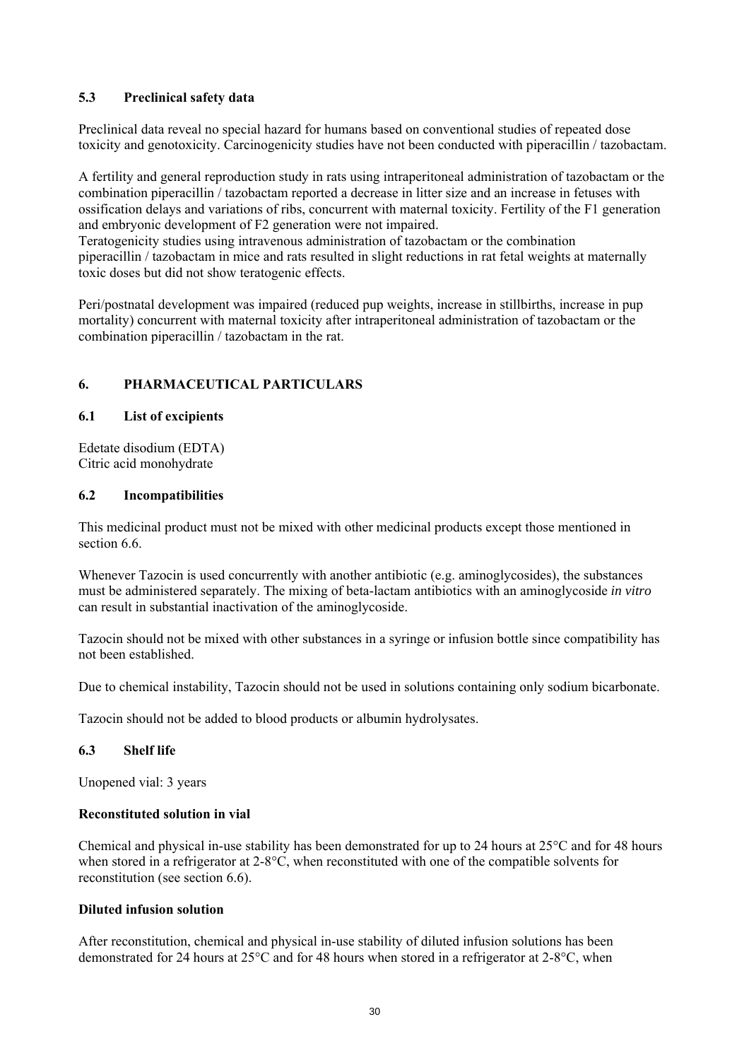## **5.3 Preclinical safety data**

Preclinical data reveal no special hazard for humans based on conventional studies of repeated dose toxicity and genotoxicity. Carcinogenicity studies have not been conducted with piperacillin / tazobactam.

A fertility and general reproduction study in rats using intraperitoneal administration of tazobactam or the combination piperacillin / tazobactam reported a decrease in litter size and an increase in fetuses with ossification delays and variations of ribs, concurrent with maternal toxicity. Fertility of the F1 generation and embryonic development of F2 generation were not impaired.

Teratogenicity studies using intravenous administration of tazobactam or the combination piperacillin / tazobactam in mice and rats resulted in slight reductions in rat fetal weights at maternally toxic doses but did not show teratogenic effects.

Peri/postnatal development was impaired (reduced pup weights, increase in stillbirths, increase in pup mortality) concurrent with maternal toxicity after intraperitoneal administration of tazobactam or the combination piperacillin / tazobactam in the rat.

## **6. PHARMACEUTICAL PARTICULARS**

### **6.1 List of excipients**

Edetate disodium (EDTA) Citric acid monohydrate

### **6.2 Incompatibilities**

This medicinal product must not be mixed with other medicinal products except those mentioned in section 6.6.

Whenever Tazocin is used concurrently with another antibiotic (e.g. aminoglycosides), the substances must be administered separately. The mixing of beta-lactam antibiotics with an aminoglycoside *in vitro* can result in substantial inactivation of the aminoglycoside.

Tazocin should not be mixed with other substances in a syringe or infusion bottle since compatibility has not been established.

Due to chemical instability, Tazocin should not be used in solutions containing only sodium bicarbonate.

Tazocin should not be added to blood products or albumin hydrolysates.

### **6.3 Shelf life**

Unopened vial: 3 years

### **Reconstituted solution in vial**

Chemical and physical in-use stability has been demonstrated for up to 24 hours at 25°C and for 48 hours when stored in a refrigerator at 2-8°C, when reconstituted with one of the compatible solvents for reconstitution (see section 6.6).

### **Diluted infusion solution**

After reconstitution, chemical and physical in-use stability of diluted infusion solutions has been demonstrated for 24 hours at 25°C and for 48 hours when stored in a refrigerator at 2-8°C, when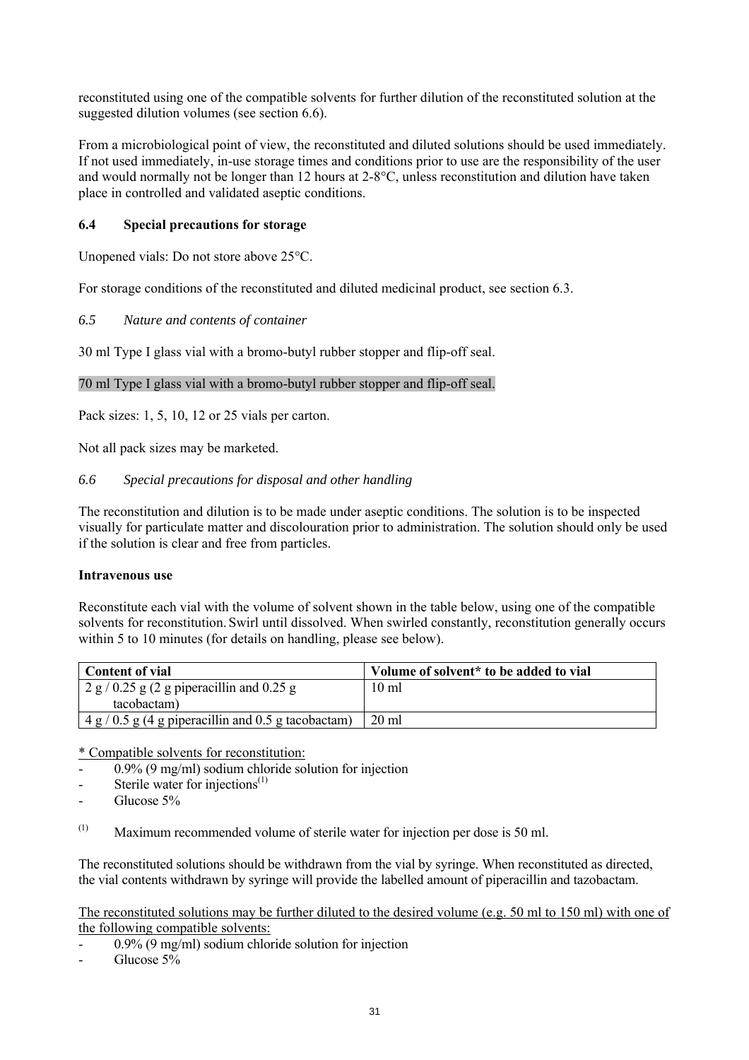reconstituted using one of the compatible solvents for further dilution of the reconstituted solution at the suggested dilution volumes (see section 6.6).

From a microbiological point of view, the reconstituted and diluted solutions should be used immediately. If not used immediately, in-use storage times and conditions prior to use are the responsibility of the user and would normally not be longer than 12 hours at 2-8°C, unless reconstitution and dilution have taken place in controlled and validated aseptic conditions.

### **6.4 Special precautions for storage**

Unopened vials: Do not store above 25°C.

For storage conditions of the reconstituted and diluted medicinal product, see section 6.3.

*6.5 Nature and contents of container* 

30 ml Type I glass vial with a bromo-butyl rubber stopper and flip-off seal.

### 70 ml Type I glass vial with a bromo-butyl rubber stopper and flip-off seal.

Pack sizes: 1, 5, 10, 12 or 25 vials per carton.

Not all pack sizes may be marketed.

### *6.6 Special precautions for disposal and other handling*

The reconstitution and dilution is to be made under aseptic conditions. The solution is to be inspected visually for particulate matter and discolouration prior to administration. The solution should only be used if the solution is clear and free from particles.

### **Intravenous use**

Reconstitute each vial with the volume of solvent shown in the table below, using one of the compatible solvents for reconstitution. Swirl until dissolved. When swirled constantly, reconstitution generally occurs within 5 to 10 minutes (for details on handling, please see below).

| <b>Content of vial</b>                                 | Volume of solvent* to be added to vial |
|--------------------------------------------------------|----------------------------------------|
| $2 g / 0.25 g (2 g)$ piperacillin and 0.25 g           | $10 \text{ ml}$                        |
| tacobactam)                                            |                                        |
| $4 g / 0.5 g (4 g)$ piperacillin and 0.5 g tacobactam) | $20 \text{ ml}$                        |

\* Compatible solvents for reconstitution:

- $0.9\%$  (9 mg/ml) sodium chloride solution for injection
- Sterile water for injections $<sup>(1)</sup>$ </sup>
- Glucose 5%
- (1) Maximum recommended volume of sterile water for injection per dose is 50 ml.

The reconstituted solutions should be withdrawn from the vial by syringe. When reconstituted as directed, the vial contents withdrawn by syringe will provide the labelled amount of piperacillin and tazobactam.

The reconstituted solutions may be further diluted to the desired volume (e.g. 50 ml to 150 ml) with one of the following compatible solvents:

- $0.9\%$  (9 mg/ml) sodium chloride solution for injection
- Glucose 5%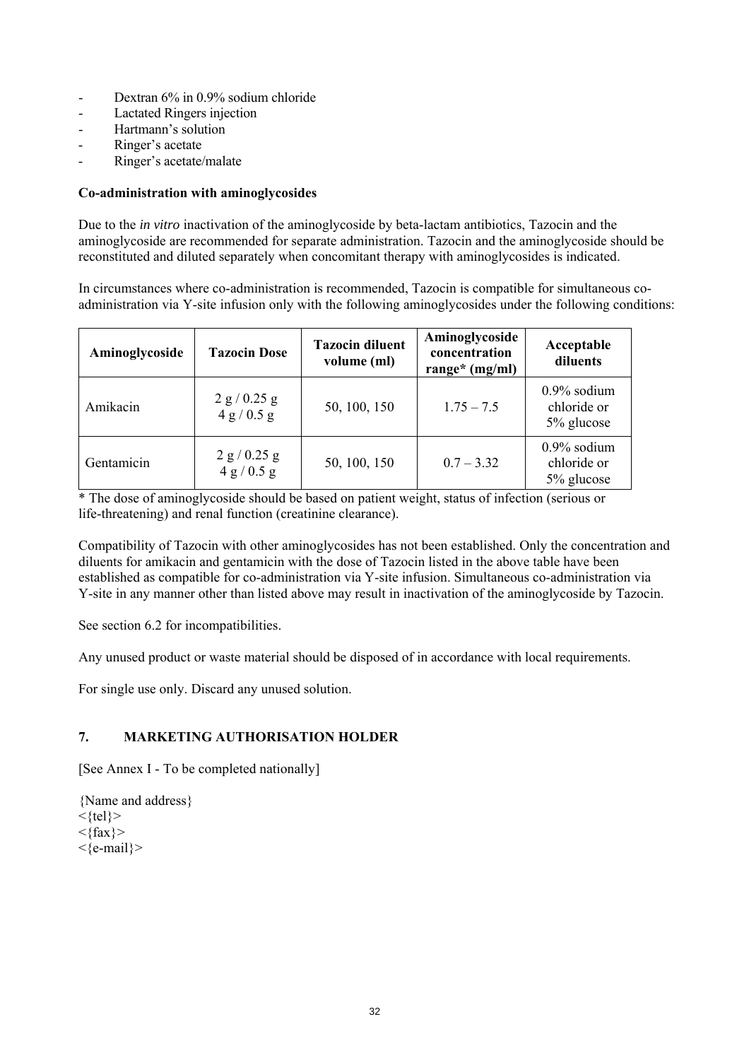- Dextran 6% in 0.9% sodium chloride
- Lactated Ringers injection
- Hartmann's solution
- Ringer's acetate
- Ringer's acetate/malate

### **Co-administration with aminoglycosides**

Due to the *in vitro* inactivation of the aminoglycoside by beta-lactam antibiotics, Tazocin and the aminoglycoside are recommended for separate administration. Tazocin and the aminoglycoside should be reconstituted and diluted separately when concomitant therapy with aminoglycosides is indicated.

In circumstances where co-administration is recommended, Tazocin is compatible for simultaneous coadministration via Y-site infusion only with the following aminoglycosides under the following conditions:

| Aminoglycoside | <b>Tazocin Dose</b>           | <b>Tazocin diluent</b><br>volume (ml) | Aminoglycoside<br>concentration<br>range* $(mg/ml)$ | Acceptable<br>diluents                      |
|----------------|-------------------------------|---------------------------------------|-----------------------------------------------------|---------------------------------------------|
| Amikacin       | $2 g / 0.25 g$<br>4 g / 0.5 g | 50, 100, 150                          | $1.75 - 7.5$                                        | $0.9\%$ sodium<br>chloride or<br>5% glucose |
| Gentamicin     | $2 g / 0.25 g$<br>4 g / 0.5 g | 50, 100, 150                          | $0.7 - 3.32$                                        | $0.9\%$ sodium<br>chloride or<br>5% glucose |

\* The dose of aminoglycoside should be based on patient weight, status of infection (serious or life-threatening) and renal function (creatinine clearance).

Compatibility of Tazocin with other aminoglycosides has not been established. Only the concentration and diluents for amikacin and gentamicin with the dose of Tazocin listed in the above table have been established as compatible for co-administration via Y-site infusion. Simultaneous co-administration via Y-site in any manner other than listed above may result in inactivation of the aminoglycoside by Tazocin.

See section 6.2 for incompatibilities.

Any unused product or waste material should be disposed of in accordance with local requirements.

For single use only. Discard any unused solution.

## **7. MARKETING AUTHORISATION HOLDER**

[See Annex I - To be completed nationally]

{Name and address}  $\langle \text{tel} \rangle$  $<$ {fax} > <{e-mail}>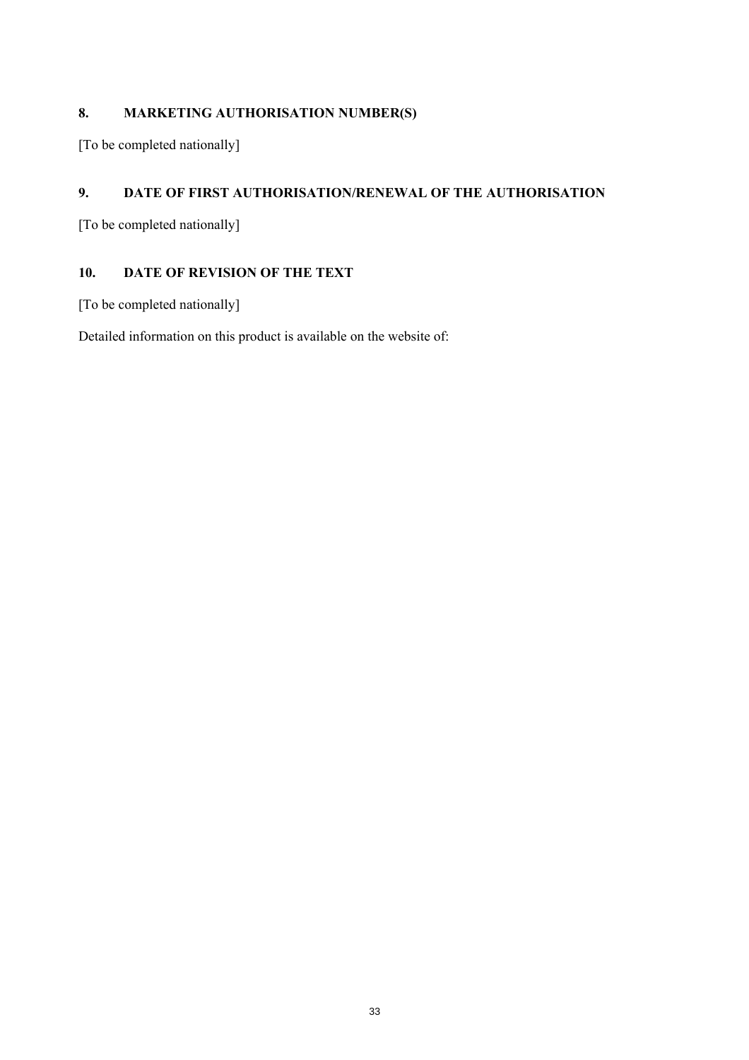## **8. MARKETING AUTHORISATION NUMBER(S)**

[To be completed nationally]

## **9. DATE OF FIRST AUTHORISATION/RENEWAL OF THE AUTHORISATION**

[To be completed nationally]

## **10. DATE OF REVISION OF THE TEXT**

[To be completed nationally]

Detailed information on this product is available on the website of: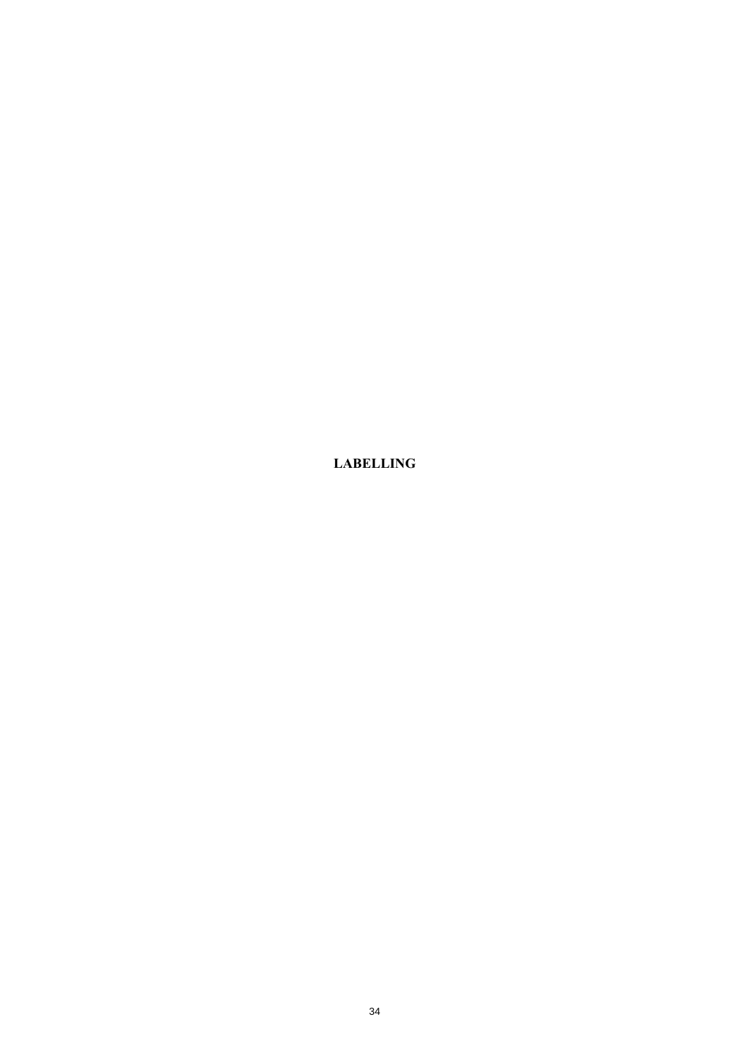**LABELLING**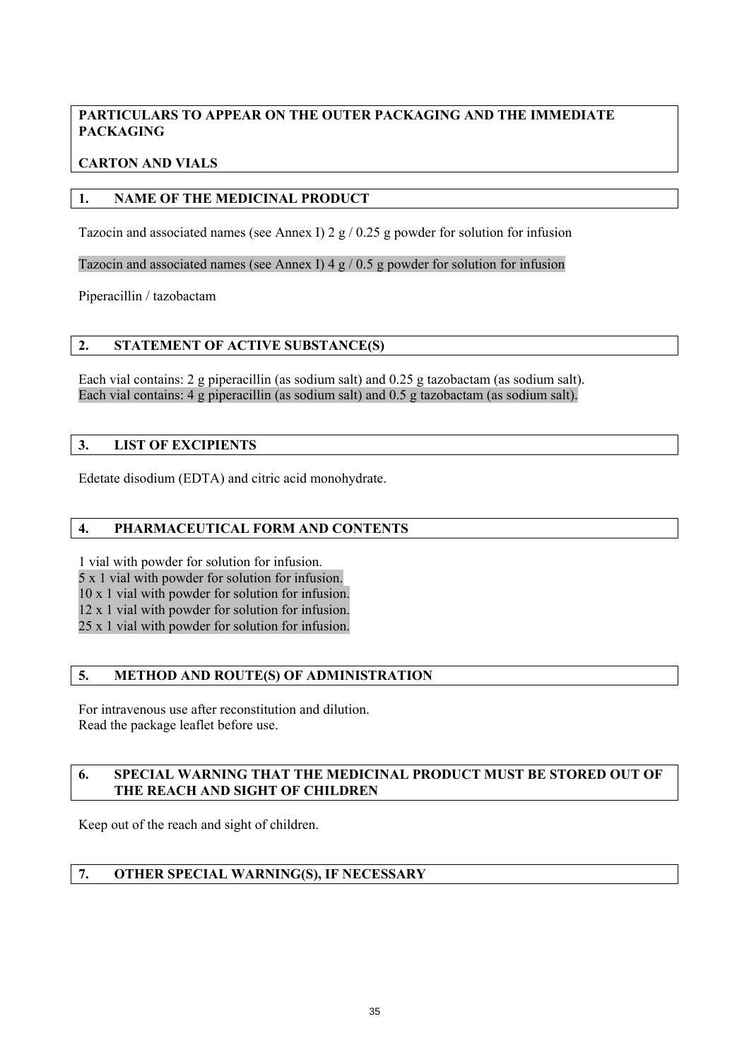## **PARTICULARS TO APPEAR ON THE OUTER PACKAGING AND THE IMMEDIATE PACKAGING**

## **CARTON AND VIALS**

## **1. NAME OF THE MEDICINAL PRODUCT**

Tazocin and associated names (see Annex I)  $2 \frac{g}{10.25}$  g powder for solution for infusion

Tazocin and associated names (see Annex I) 4  $g / 0.5 g$  powder for solution for infusion

Piperacillin / tazobactam

## **2. STATEMENT OF ACTIVE SUBSTANCE(S)**

Each vial contains: 2 g piperacillin (as sodium salt) and 0.25 g tazobactam (as sodium salt). Each vial contains: 4 g piperacillin (as sodium salt) and 0.5 g tazobactam (as sodium salt).

### **3. LIST OF EXCIPIENTS**

Edetate disodium (EDTA) and citric acid monohydrate.

## **4. PHARMACEUTICAL FORM AND CONTENTS**

1 vial with powder for solution for infusion. 5 x 1 vial with powder for solution for infusion. 10 x 1 vial with powder for solution for infusion. 12 x 1 vial with powder for solution for infusion. 25 x 1 vial with powder for solution for infusion.

## **5. METHOD AND ROUTE(S) OF ADMINISTRATION**

For intravenous use after reconstitution and dilution. Read the package leaflet before use.

### **6. SPECIAL WARNING THAT THE MEDICINAL PRODUCT MUST BE STORED OUT OF THE REACH AND SIGHT OF CHILDREN**

Keep out of the reach and sight of children.

## **7. OTHER SPECIAL WARNING(S), IF NECESSARY**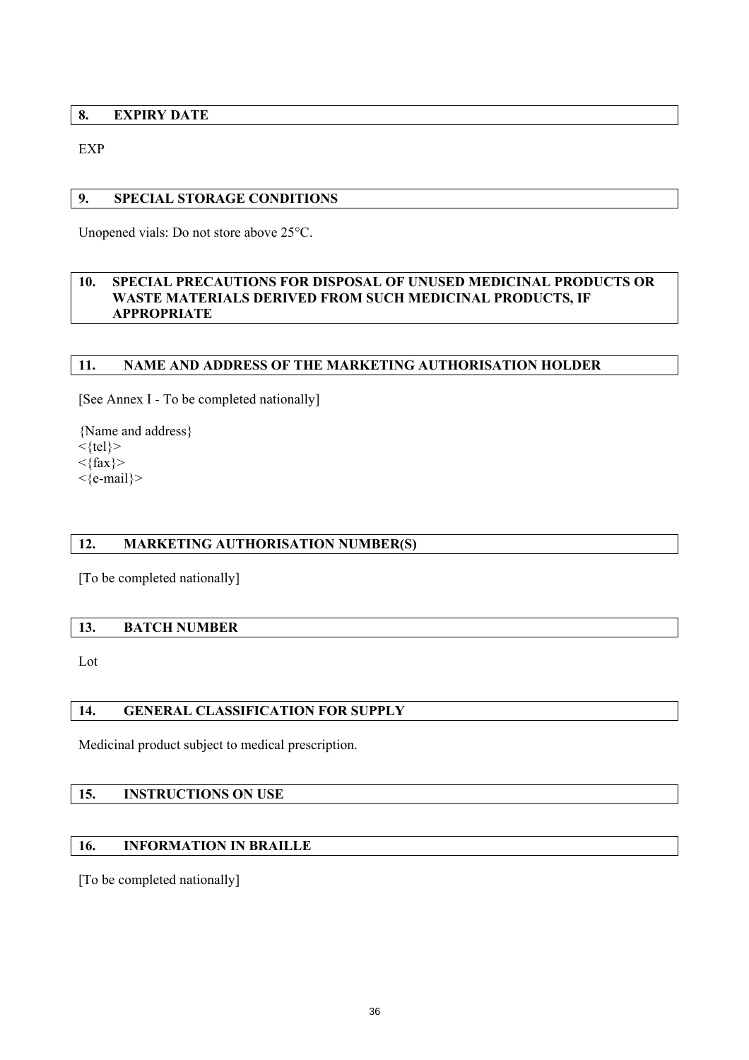### **8. EXPIRY DATE**

EXP

### **9. SPECIAL STORAGE CONDITIONS**

Unopened vials: Do not store above 25°C.

### **10. SPECIAL PRECAUTIONS FOR DISPOSAL OF UNUSED MEDICINAL PRODUCTS OR WASTE MATERIALS DERIVED FROM SUCH MEDICINAL PRODUCTS, IF APPROPRIATE**

### **11. NAME AND ADDRESS OF THE MARKETING AUTHORISATION HOLDER**

[See Annex I - To be completed nationally]

{Name and address}  $\langle$ tel}>  $\langle \text{fax} \rangle$ 

<{e-mail}>

## **12. MARKETING AUTHORISATION NUMBER(S)**

[To be completed nationally]

### **13. BATCH NUMBER**

Lot

## **14. GENERAL CLASSIFICATION FOR SUPPLY**

Medicinal product subject to medical prescription.

## **15. INSTRUCTIONS ON USE**

## **16. INFORMATION IN BRAILLE**

[To be completed nationally]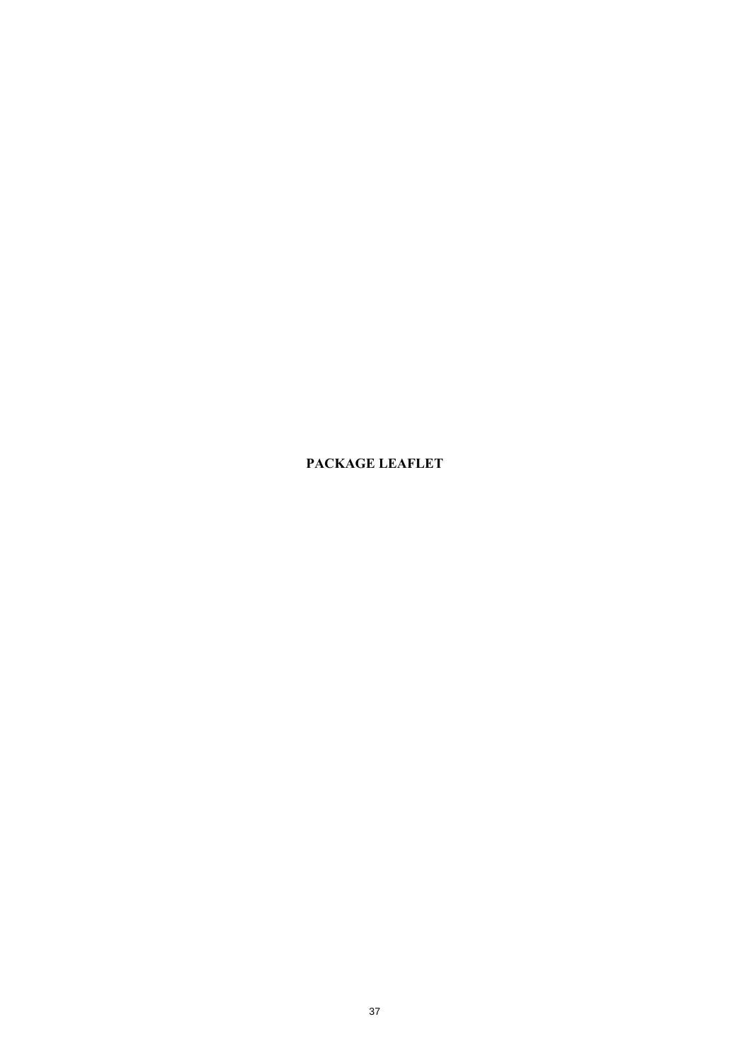**PACKAGE LEAFLET**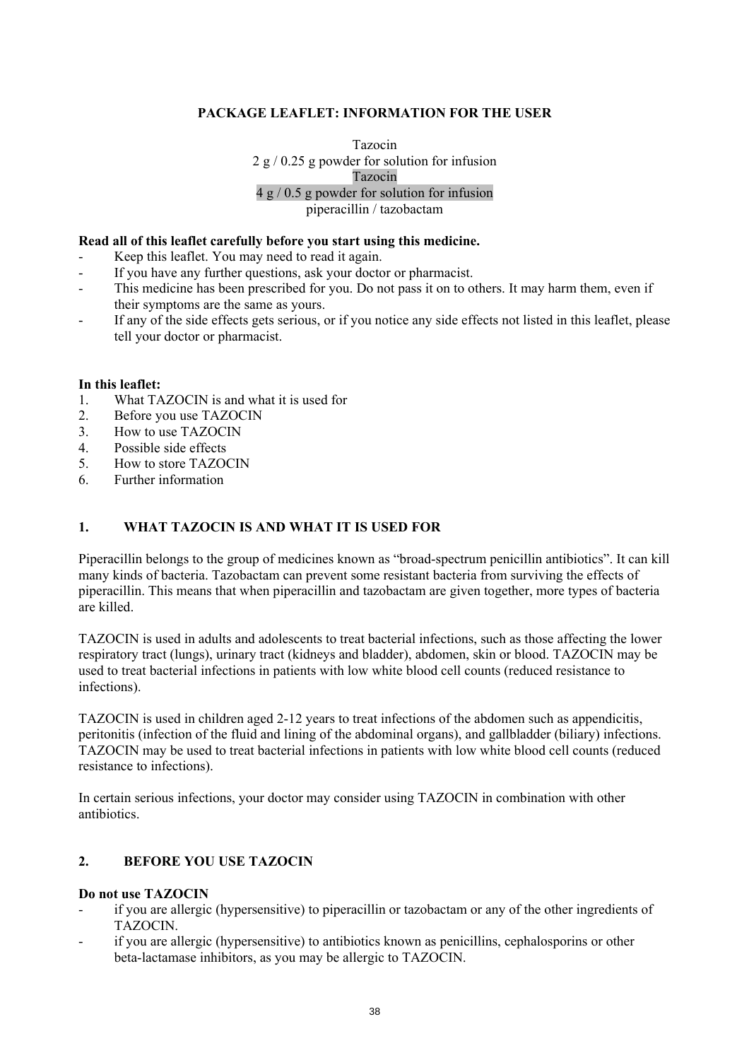## **PACKAGE LEAFLET: INFORMATION FOR THE USER**

Tazocin 2 g / 0.25 g powder for solution for infusion Tazocin 4 g / 0.5 g powder for solution for infusion piperacillin / tazobactam

#### **Read all of this leaflet carefully before you start using this medicine.**

Keep this leaflet. You may need to read it again.

- If you have any further questions, ask your doctor or pharmacist.
- This medicine has been prescribed for you. Do not pass it on to others. It may harm them, even if their symptoms are the same as yours.
- If any of the side effects gets serious, or if you notice any side effects not listed in this leaflet, please tell your doctor or pharmacist.

#### **In this leaflet:**

- 1. What TAZOCIN is and what it is used for
- 2. Before you use TAZOCIN
- 3. How to use TAZOCIN
- 4. Possible side effects
- 5. How to store TAZOCIN
- 6. Further information

#### **1. WHAT TAZOCIN IS AND WHAT IT IS USED FOR**

Piperacillin belongs to the group of medicines known as "broad-spectrum penicillin antibiotics". It can kill many kinds of bacteria. Tazobactam can prevent some resistant bacteria from surviving the effects of piperacillin. This means that when piperacillin and tazobactam are given together, more types of bacteria are killed.

TAZOCIN is used in adults and adolescents to treat bacterial infections, such as those affecting the lower respiratory tract (lungs), urinary tract (kidneys and bladder), abdomen, skin or blood. TAZOCIN may be used to treat bacterial infections in patients with low white blood cell counts (reduced resistance to infections).

TAZOCIN is used in children aged 2-12 years to treat infections of the abdomen such as appendicitis, peritonitis (infection of the fluid and lining of the abdominal organs), and gallbladder (biliary) infections. TAZOCIN may be used to treat bacterial infections in patients with low white blood cell counts (reduced resistance to infections).

In certain serious infections, your doctor may consider using TAZOCIN in combination with other antibiotics.

## **2. BEFORE YOU USE TAZOCIN**

### **Do not use TAZOCIN**

- if you are allergic (hypersensitive) to piperacillin or tazobactam or any of the other ingredients of TAZOCIN.
- if you are allergic (hypersensitive) to antibiotics known as penicillins, cephalosporins or other beta-lactamase inhibitors, as you may be allergic to TAZOCIN.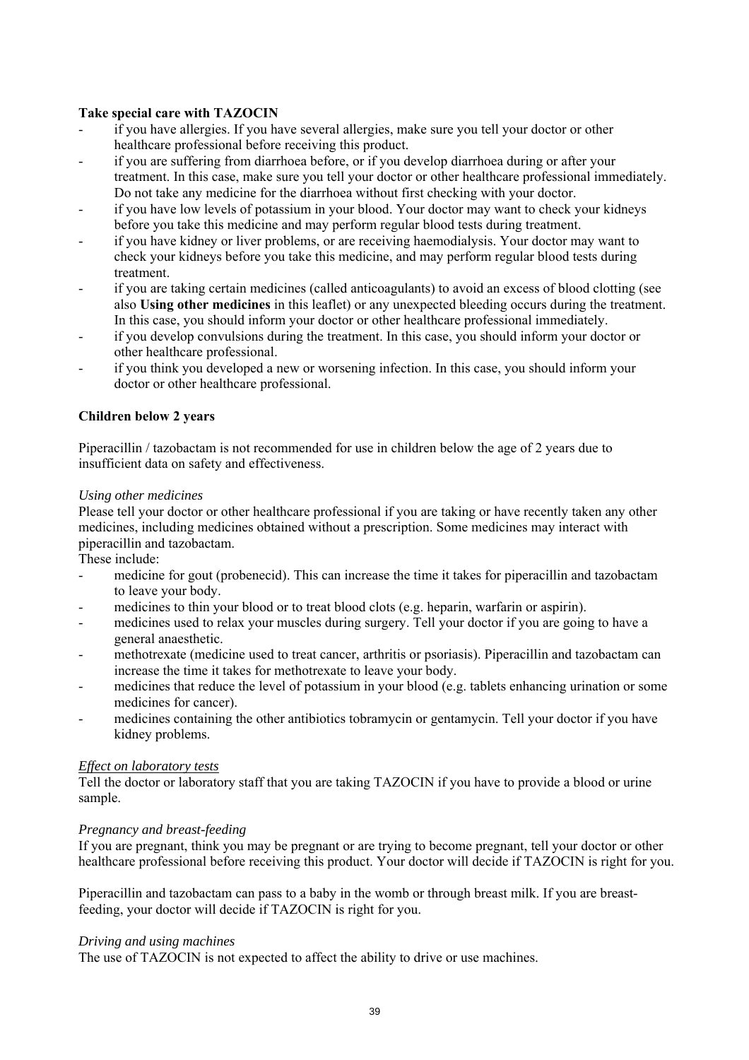## **Take special care with TAZOCIN**

- if you have allergies. If you have several allergies, make sure you tell your doctor or other healthcare professional before receiving this product.
- if you are suffering from diarrhoea before, or if you develop diarrhoea during or after your treatment. In this case, make sure you tell your doctor or other healthcare professional immediately. Do not take any medicine for the diarrhoea without first checking with your doctor.
- if you have low levels of potassium in your blood. Your doctor may want to check your kidneys before you take this medicine and may perform regular blood tests during treatment.
- if you have kidney or liver problems, or are receiving haemodialysis. Your doctor may want to check your kidneys before you take this medicine, and may perform regular blood tests during treatment.
- if you are taking certain medicines (called anticoagulants) to avoid an excess of blood clotting (see also **Using other medicines** in this leaflet) or any unexpected bleeding occurs during the treatment. In this case, you should inform your doctor or other healthcare professional immediately.
- if you develop convulsions during the treatment. In this case, you should inform your doctor or other healthcare professional.
- if you think you developed a new or worsening infection. In this case, you should inform your doctor or other healthcare professional.

### **Children below 2 years**

Piperacillin / tazobactam is not recommended for use in children below the age of 2 years due to insufficient data on safety and effectiveness.

#### *Using other medicines*

Please tell your doctor or other healthcare professional if you are taking or have recently taken any other medicines, including medicines obtained without a prescription. Some medicines may interact with piperacillin and tazobactam.

These include:

- medicine for gout (probenecid). This can increase the time it takes for piperacillin and tazobactam to leave your body.
- medicines to thin your blood or to treat blood clots (e.g. heparin, warfarin or aspirin).
- medicines used to relax your muscles during surgery. Tell your doctor if you are going to have a general anaesthetic.
- methotrexate (medicine used to treat cancer, arthritis or psoriasis). Piperacillin and tazobactam can increase the time it takes for methotrexate to leave your body.
- medicines that reduce the level of potassium in your blood (e.g. tablets enhancing urination or some medicines for cancer).
- medicines containing the other antibiotics tobramycin or gentamycin. Tell your doctor if you have kidney problems.

### *Effect on laboratory tests*

Tell the doctor or laboratory staff that you are taking TAZOCIN if you have to provide a blood or urine sample.

### *Pregnancy and breast-feeding*

If you are pregnant, think you may be pregnant or are trying to become pregnant, tell your doctor or other healthcare professional before receiving this product. Your doctor will decide if TAZOCIN is right for you.

Piperacillin and tazobactam can pass to a baby in the womb or through breast milk. If you are breastfeeding, your doctor will decide if TAZOCIN is right for you.

#### *Driving and using machines*

The use of TAZOCIN is not expected to affect the ability to drive or use machines.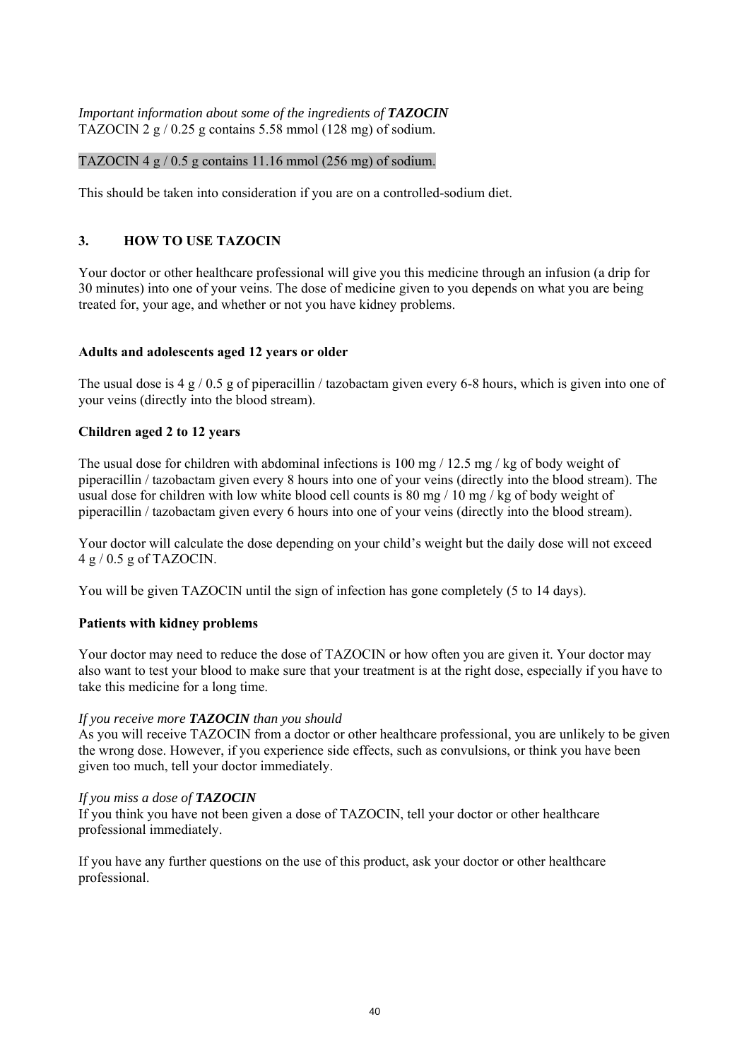### *Important information about some of the ingredients of TAZOCIN* TAZOCIN 2  $g / 0.25 g$  contains 5.58 mmol (128 mg) of sodium.

### TAZOCIN  $4 \frac{g}{10.5}$  g contains 11.16 mmol (256 mg) of sodium.

This should be taken into consideration if you are on a controlled-sodium diet.

## **3. HOW TO USE TAZOCIN**

Your doctor or other healthcare professional will give you this medicine through an infusion (a drip for 30 minutes) into one of your veins. The dose of medicine given to you depends on what you are being treated for, your age, and whether or not you have kidney problems.

### **Adults and adolescents aged 12 years or older**

The usual dose is 4 g / 0.5 g of piperacillin / tazobactam given every 6-8 hours, which is given into one of your veins (directly into the blood stream).

## **Children aged 2 to 12 years**

The usual dose for children with abdominal infections is  $100 \text{ mg} / 12.5 \text{ mg} / \text{kg}$  of body weight of piperacillin / tazobactam given every 8 hours into one of your veins (directly into the blood stream). The usual dose for children with low white blood cell counts is 80 mg / 10 mg / kg of body weight of piperacillin / tazobactam given every 6 hours into one of your veins (directly into the blood stream).

Your doctor will calculate the dose depending on your child's weight but the daily dose will not exceed  $4 g / 0.5 g$  of TAZOCIN.

You will be given TAZOCIN until the sign of infection has gone completely (5 to 14 days).

## **Patients with kidney problems**

Your doctor may need to reduce the dose of TAZOCIN or how often you are given it. Your doctor may also want to test your blood to make sure that your treatment is at the right dose, especially if you have to take this medicine for a long time.

### *If you receive more TAZOCIN than you should*

As you will receive TAZOCIN from a doctor or other healthcare professional, you are unlikely to be given the wrong dose. However, if you experience side effects, such as convulsions, or think you have been given too much, tell your doctor immediately.

### *If you miss a dose of TAZOCIN*

If you think you have not been given a dose of TAZOCIN, tell your doctor or other healthcare professional immediately.

If you have any further questions on the use of this product, ask your doctor or other healthcare professional.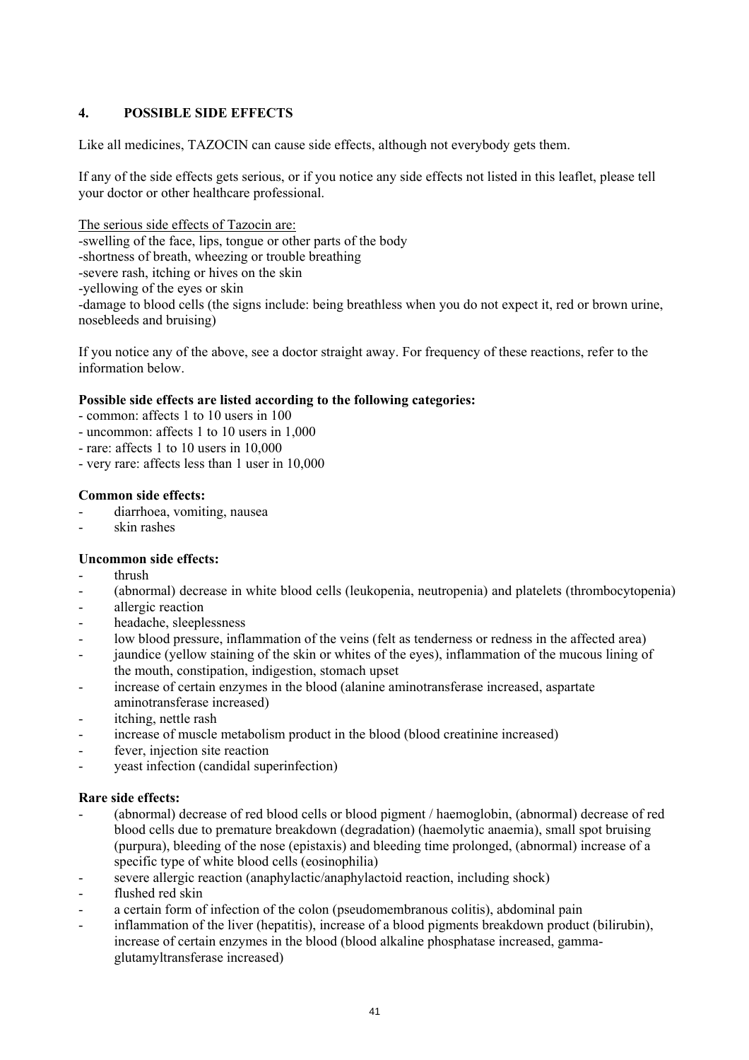## **4. POSSIBLE SIDE EFFECTS**

Like all medicines, TAZOCIN can cause side effects, although not everybody gets them.

If any of the side effects gets serious, or if you notice any side effects not listed in this leaflet, please tell your doctor or other healthcare professional.

The serious side effects of Tazocin are: -swelling of the face, lips, tongue or other parts of the body -shortness of breath, wheezing or trouble breathing -severe rash, itching or hives on the skin -yellowing of the eyes or skin -damage to blood cells (the signs include: being breathless when you do not expect it, red or brown urine,

nosebleeds and bruising)

If you notice any of the above, see a doctor straight away. For frequency of these reactions, refer to the information below.

### **Possible side effects are listed according to the following categories:**

- common: affects 1 to 10 users in 100
- uncommon: affects 1 to 10 users in 1,000
- rare: affects 1 to 10 users in 10,000
- very rare: affects less than 1 user in 10,000

#### **Common side effects:**

- diarrhoea, vomiting, nausea
- skin rashes

### **Uncommon side effects:**

- thrush
- (abnormal) decrease in white blood cells (leukopenia, neutropenia) and platelets (thrombocytopenia)
- allergic reaction
- headache, sleeplessness
- low blood pressure, inflammation of the veins (felt as tenderness or redness in the affected area)
- jaundice (yellow staining of the skin or whites of the eyes), inflammation of the mucous lining of the mouth, constipation, indigestion, stomach upset
- increase of certain enzymes in the blood (alanine aminotransferase increased, aspartate aminotransferase increased)
- itching, nettle rash
- increase of muscle metabolism product in the blood (blood creatinine increased)
- fever, injection site reaction
- yeast infection (candidal superinfection)

#### **Rare side effects:**

- (abnormal) decrease of red blood cells or blood pigment / haemoglobin, (abnormal) decrease of red blood cells due to premature breakdown (degradation) (haemolytic anaemia), small spot bruising (purpura), bleeding of the nose (epistaxis) and bleeding time prolonged, (abnormal) increase of a specific type of white blood cells (eosinophilia)
- severe allergic reaction (anaphylactic/anaphylactoid reaction, including shock)
- flushed red skin
- a certain form of infection of the colon (pseudomembranous colitis), abdominal pain
- inflammation of the liver (hepatitis), increase of a blood pigments breakdown product (bilirubin), increase of certain enzymes in the blood (blood alkaline phosphatase increased, gammaglutamyltransferase increased)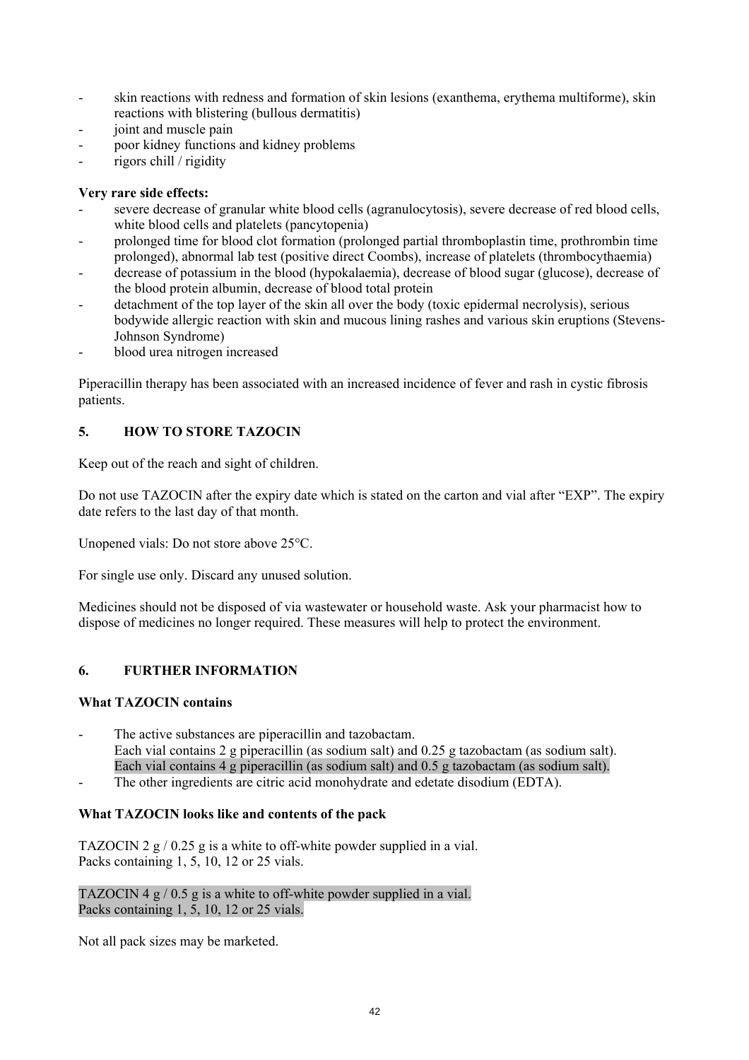- skin reactions with redness and formation of skin lesions (exanthema, erythema multiforme), skin reactions with blistering (bullous dermatitis)
- joint and muscle pain
- poor kidney functions and kidney problems
- rigors chill / rigidity

## **Very rare side effects:**

- severe decrease of granular white blood cells (agranulocytosis), severe decrease of red blood cells, white blood cells and platelets (pancytopenia)
- prolonged time for blood clot formation (prolonged partial thromboplastin time, prothrombin time prolonged), abnormal lab test (positive direct Coombs), increase of platelets (thrombocythaemia)
- decrease of potassium in the blood (hypokalaemia), decrease of blood sugar (glucose), decrease of the blood protein albumin, decrease of blood total protein
- detachment of the top layer of the skin all over the body (toxic epidermal necrolysis), serious bodywide allergic reaction with skin and mucous lining rashes and various skin eruptions (Stevens-Johnson Syndrome)
- blood urea nitrogen increased

Piperacillin therapy has been associated with an increased incidence of fever and rash in cystic fibrosis patients.

## **5. HOW TO STORE TAZOCIN**

Keep out of the reach and sight of children.

Do not use TAZOCIN after the expiry date which is stated on the carton and vial after "EXP". The expiry date refers to the last day of that month.

Unopened vials: Do not store above 25°C.

For single use only. Discard any unused solution.

Medicines should not be disposed of via wastewater or household waste. Ask your pharmacist how to dispose of medicines no longer required. These measures will help to protect the environment.

## **6. FURTHER INFORMATION**

## **What TAZOCIN contains**

- The active substances are piperacillin and tazobactam. Each vial contains 2 g piperacillin (as sodium salt) and 0.25 g tazobactam (as sodium salt). Each vial contains 4 g piperacillin (as sodium salt) and 0.5 g tazobactam (as sodium salt).
- The other ingredients are citric acid monohydrate and edetate disodium (EDTA).

## **What TAZOCIN looks like and contents of the pack**

TAZOCIN 2 g / 0.25 g is a white to off-white powder supplied in a vial. Packs containing 1, 5, 10, 12 or 25 vials.

TAZOCIN 4 g / 0.5 g is a white to off-white powder supplied in a vial. Packs containing 1, 5, 10, 12 or 25 vials.

Not all pack sizes may be marketed.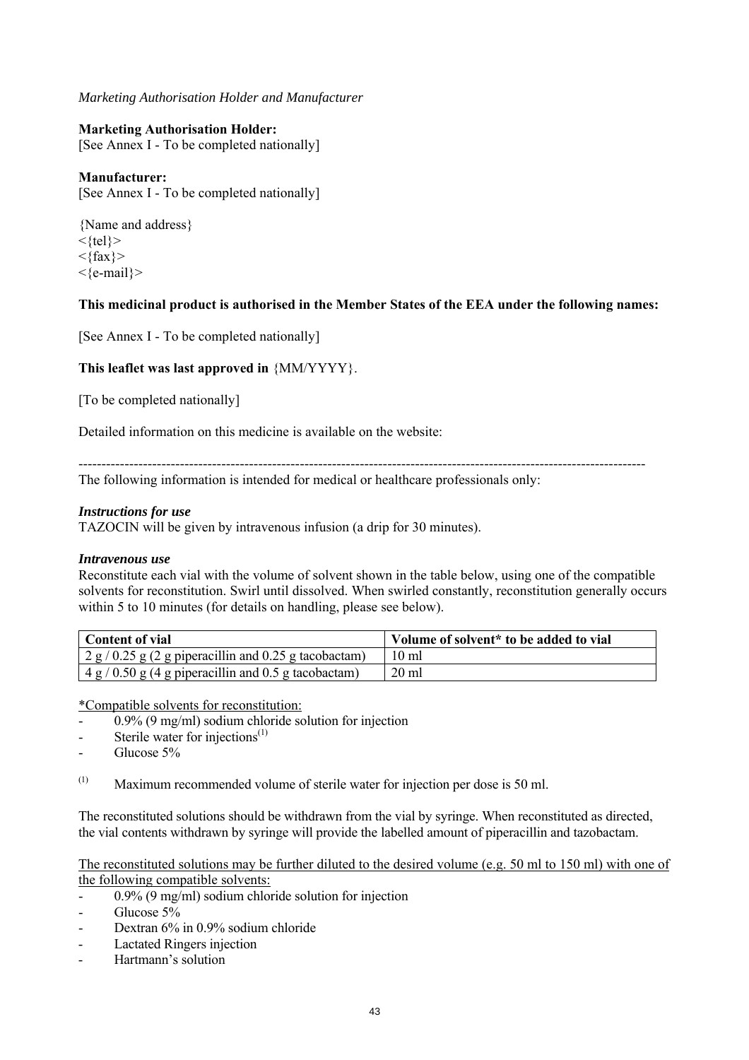### *Marketing Authorisation Holder and Manufacturer*

### **Marketing Authorisation Holder:**

[See Annex I - To be completed nationally]

### **Manufacturer:**

[See Annex I - To be completed nationally]

{Name and address}  $\langle \text{tel} \rangle$  $\langle \text{fax} \rangle$ <{e-mail}>

### **This medicinal product is authorised in the Member States of the EEA under the following names:**

[See Annex I - To be completed nationally]

### **This leaflet was last approved in** {MM/YYYY}.

[To be completed nationally]

Detailed information on this medicine is available on the website:

--------------------------------------------------------------------------------------------------------------------------- The following information is intended for medical or healthcare professionals only:

#### *Instructions for use*

TAZOCIN will be given by intravenous infusion (a drip for 30 minutes).

#### *Intravenous use*

Reconstitute each vial with the volume of solvent shown in the table below, using one of the compatible solvents for reconstitution. Swirl until dissolved. When swirled constantly, reconstitution generally occurs within 5 to 10 minutes (for details on handling, please see below).

| <b>Content of vial</b>                                              | Volume of solvent* to be added to vial |
|---------------------------------------------------------------------|----------------------------------------|
| $\frac{1}{2}$ 2 g / 0.25 g (2 g piperacillin and 0.25 g tacobactam) | $10 \text{ ml}$                        |
| $4 g / 0.50 g (4 g)$ piperacillin and 0.5 g tacobactam)             | $20$ ml                                |

\*Compatible solvents for reconstitution:

- 0.9% (9 mg/ml) sodium chloride solution for injection
- Sterile water for injections $^{(1)}$
- Glucose 5%

(1) Maximum recommended volume of sterile water for injection per dose is 50 ml.

The reconstituted solutions should be withdrawn from the vial by syringe. When reconstituted as directed, the vial contents withdrawn by syringe will provide the labelled amount of piperacillin and tazobactam.

#### The reconstituted solutions may be further diluted to the desired volume (e.g. 50 ml to 150 ml) with one of the following compatible solvents:

- 0.9% (9 mg/ml) sodium chloride solution for injection
- Glucose 5%
- Dextran 6% in 0.9% sodium chloride
- Lactated Ringers injection
- Hartmann's solution